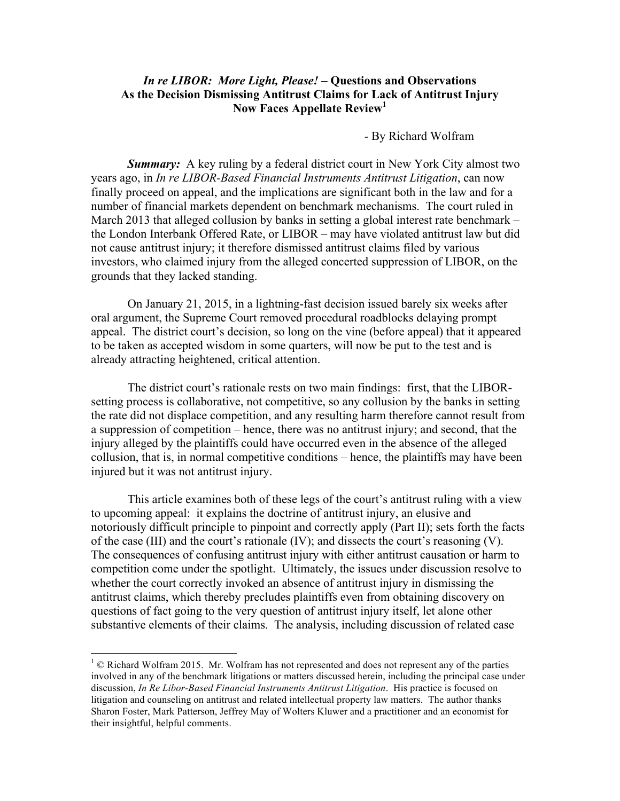# *In re LIBOR: More Light, Please!* **– Questions and Observations As the Decision Dismissing Antitrust Claims for Lack of Antitrust Injury Now Faces Appellate Review1**

- By Richard Wolfram

*Summary:* A key ruling by a federal district court in New York City almost two years ago, in *In re LIBOR-Based Financial Instruments Antitrust Litigation*, can now finally proceed on appeal, and the implications are significant both in the law and for a number of financial markets dependent on benchmark mechanisms. The court ruled in March 2013 that alleged collusion by banks in setting a global interest rate benchmark – the London Interbank Offered Rate, or LIBOR – may have violated antitrust law but did not cause antitrust injury; it therefore dismissed antitrust claims filed by various investors, who claimed injury from the alleged concerted suppression of LIBOR, on the grounds that they lacked standing.

On January 21, 2015, in a lightning-fast decision issued barely six weeks after oral argument, the Supreme Court removed procedural roadblocks delaying prompt appeal. The district court's decision, so long on the vine (before appeal) that it appeared to be taken as accepted wisdom in some quarters, will now be put to the test and is already attracting heightened, critical attention.

The district court's rationale rests on two main findings: first, that the LIBORsetting process is collaborative, not competitive, so any collusion by the banks in setting the rate did not displace competition, and any resulting harm therefore cannot result from a suppression of competition – hence, there was no antitrust injury; and second, that the injury alleged by the plaintiffs could have occurred even in the absence of the alleged collusion, that is, in normal competitive conditions – hence, the plaintiffs may have been injured but it was not antitrust injury.

This article examines both of these legs of the court's antitrust ruling with a view to upcoming appeal: it explains the doctrine of antitrust injury, an elusive and notoriously difficult principle to pinpoint and correctly apply (Part II); sets forth the facts of the case (III) and the court's rationale (IV); and dissects the court's reasoning (V). The consequences of confusing antitrust injury with either antitrust causation or harm to competition come under the spotlight. Ultimately, the issues under discussion resolve to whether the court correctly invoked an absence of antitrust injury in dismissing the antitrust claims, which thereby precludes plaintiffs even from obtaining discovery on questions of fact going to the very question of antitrust injury itself, let alone other substantive elements of their claims. The analysis, including discussion of related case

 $1 \odot$  Richard Wolfram 2015. Mr. Wolfram has not represented and does not represent any of the parties involved in any of the benchmark litigations or matters discussed herein, including the principal case under discussion, *In Re Libor-Based Financial Instruments Antitrust Litigation*. His practice is focused on litigation and counseling on antitrust and related intellectual property law matters. The author thanks Sharon Foster, Mark Patterson, Jeffrey May of Wolters Kluwer and a practitioner and an economist for their insightful, helpful comments.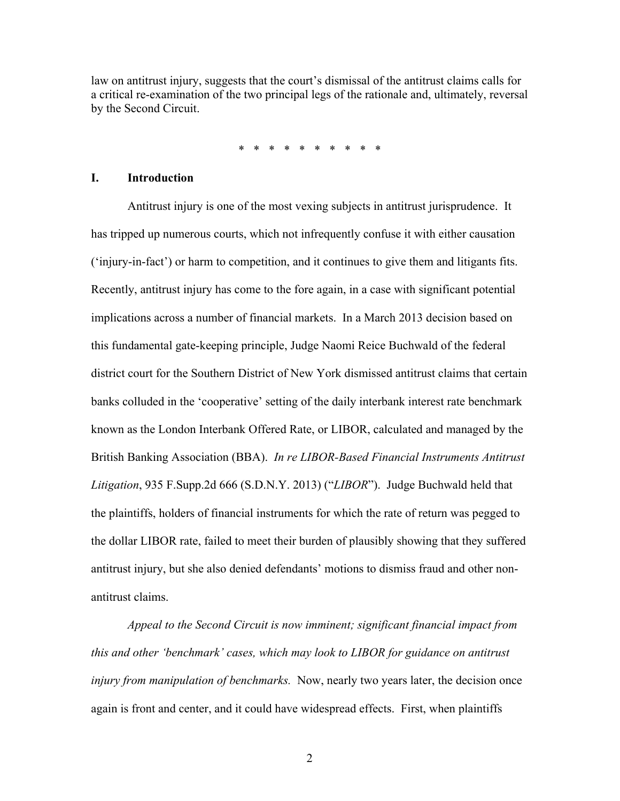law on antitrust injury, suggests that the court's dismissal of the antitrust claims calls for a critical re-examination of the two principal legs of the rationale and, ultimately, reversal by the Second Circuit.

\* \* \* \* \* \* \* \* \* \*

## **I. Introduction**

Antitrust injury is one of the most vexing subjects in antitrust jurisprudence. It has tripped up numerous courts, which not infrequently confuse it with either causation ('injury-in-fact') or harm to competition, and it continues to give them and litigants fits. Recently, antitrust injury has come to the fore again, in a case with significant potential implications across a number of financial markets. In a March 2013 decision based on this fundamental gate-keeping principle, Judge Naomi Reice Buchwald of the federal district court for the Southern District of New York dismissed antitrust claims that certain banks colluded in the 'cooperative' setting of the daily interbank interest rate benchmark known as the London Interbank Offered Rate, or LIBOR, calculated and managed by the British Banking Association (BBA). *In re LIBOR-Based Financial Instruments Antitrust Litigation*, 935 F.Supp.2d 666 (S.D.N.Y. 2013) ("*LIBOR*"). Judge Buchwald held that the plaintiffs, holders of financial instruments for which the rate of return was pegged to the dollar LIBOR rate, failed to meet their burden of plausibly showing that they suffered antitrust injury, but she also denied defendants' motions to dismiss fraud and other nonantitrust claims.

*Appeal to the Second Circuit is now imminent; significant financial impact from this and other 'benchmark' cases, which may look to LIBOR for guidance on antitrust injury from manipulation of benchmarks.* Now, nearly two years later, the decision once again is front and center, and it could have widespread effects. First, when plaintiffs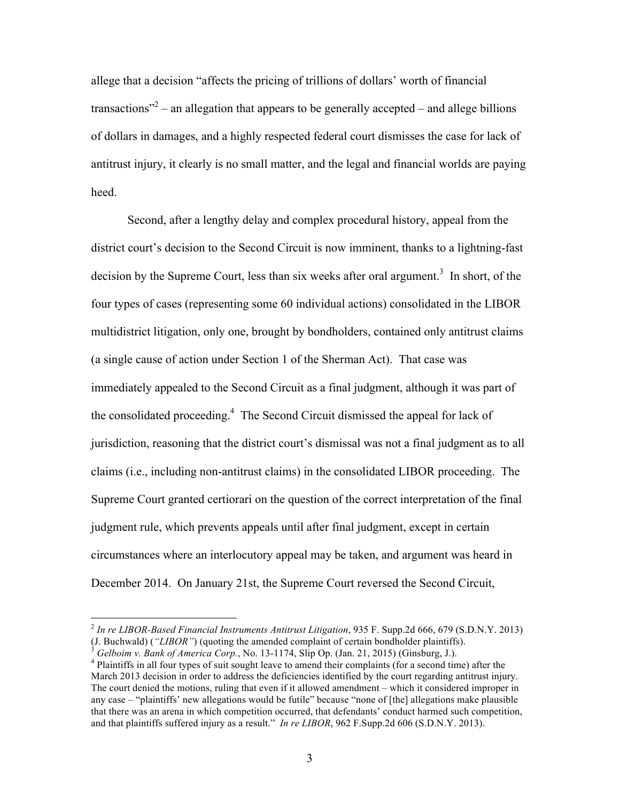allege that a decision "affects the pricing of trillions of dollars' worth of financial transactions<sup>"2</sup> – an allegation that appears to be generally accepted – and allege billions of dollars in damages, and a highly respected federal court dismisses the case for lack of antitrust injury, it clearly is no small matter, and the legal and financial worlds are paying heed.

Second, after a lengthy delay and complex procedural history, appeal from the district court's decision to the Second Circuit is now imminent, thanks to a lightning-fast decision by the Supreme Court, less than six weeks after oral argument.<sup>3</sup> In short, of the four types of cases (representing some 60 individual actions) consolidated in the LIBOR multidistrict litigation, only one, brought by bondholders, contained only antitrust claims (a single cause of action under Section 1 of the Sherman Act). That case was immediately appealed to the Second Circuit as a final judgment, although it was part of the consolidated proceeding.<sup>4</sup> The Second Circuit dismissed the appeal for lack of jurisdiction, reasoning that the district court's dismissal was not a final judgment as to all claims (i.e., including non-antitrust claims) in the consolidated LIBOR proceeding. The Supreme Court granted certiorari on the question of the correct interpretation of the final judgment rule, which prevents appeals until after final judgment, except in certain circumstances where an interlocutory appeal may be taken, and argument was heard in December 2014. On January 21st, the Supreme Court reversed the Second Circuit,

 <sup>2</sup> *In re LIBOR-Based Financial Instruments Antitrust Litigation*, 935 F. Supp.2d 666, 679 (S.D.N.Y. 2013) (J. Buchwald) ("LIBOR") (quoting the amended complaint of certain bondholder plaintiffs).<br>
<sup>3</sup> Gelboim v. Bank of America Corp., No. 13-1174, Slip Op. (Jan. 21, 2015) (Ginsburg, J.).<br>
<sup>4</sup> Plaintiffs in all four types of s

March 2013 decision in order to address the deficiencies identified by the court regarding antitrust injury. The court denied the motions, ruling that even if it allowed amendment – which it considered improper in any case – "plaintiffs' new allegations would be futile" because "none of [the] allegations make plausible that there was an arena in which competition occurred, that defendants' conduct harmed such competition, and that plaintiffs suffered injury as a result." *In re LIBOR*, 962 F.Supp.2d 606 (S.D.N.Y. 2013).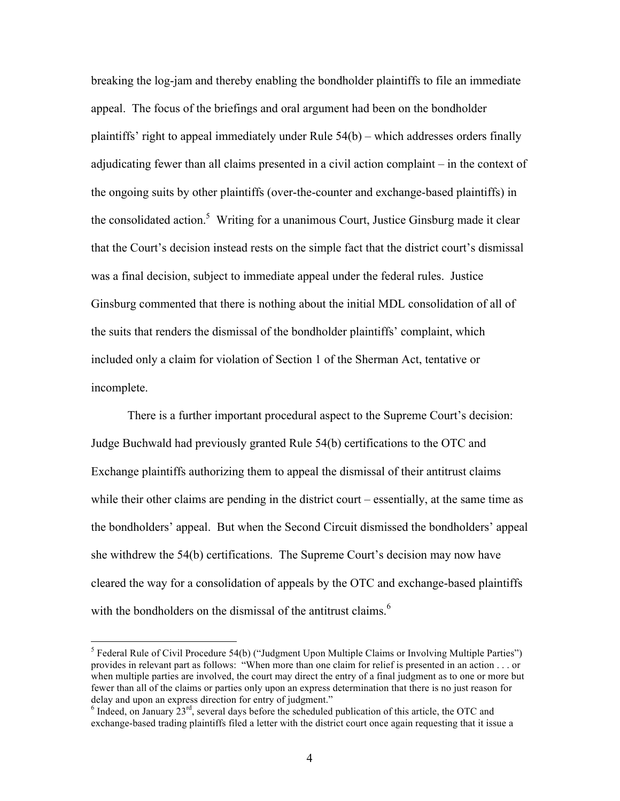breaking the log-jam and thereby enabling the bondholder plaintiffs to file an immediate appeal. The focus of the briefings and oral argument had been on the bondholder plaintiffs' right to appeal immediately under Rule 54(b) – which addresses orders finally adjudicating fewer than all claims presented in a civil action complaint – in the context of the ongoing suits by other plaintiffs (over-the-counter and exchange-based plaintiffs) in the consolidated action. 5 Writing for a unanimous Court, Justice Ginsburg made it clear that the Court's decision instead rests on the simple fact that the district court's dismissal was a final decision, subject to immediate appeal under the federal rules. Justice Ginsburg commented that there is nothing about the initial MDL consolidation of all of the suits that renders the dismissal of the bondholder plaintiffs' complaint, which included only a claim for violation of Section 1 of the Sherman Act, tentative or incomplete.

There is a further important procedural aspect to the Supreme Court's decision: Judge Buchwald had previously granted Rule 54(b) certifications to the OTC and Exchange plaintiffs authorizing them to appeal the dismissal of their antitrust claims while their other claims are pending in the district court – essentially, at the same time as the bondholders' appeal. But when the Second Circuit dismissed the bondholders' appeal she withdrew the 54(b) certifications. The Supreme Court's decision may now have cleared the way for a consolidation of appeals by the OTC and exchange-based plaintiffs with the bondholders on the dismissal of the antitrust claims. $<sup>6</sup>$ </sup>

<sup>&</sup>lt;sup>5</sup> Federal Rule of Civil Procedure 54(b) ("Judgment Upon Multiple Claims or Involving Multiple Parties") provides in relevant part as follows: "When more than one claim for relief is presented in an action . . . or when multiple parties are involved, the court may direct the entry of a final judgment as to one or more but fewer than all of the claims or parties only upon an express determination that there is no just reason for delay and upon an express direction for entry of judgment."

 $6$  Indeed, on January  $23^{rd}$ , several days before the scheduled publication of this article, the OTC and exchange-based trading plaintiffs filed a letter with the district court once again requesting that it issue a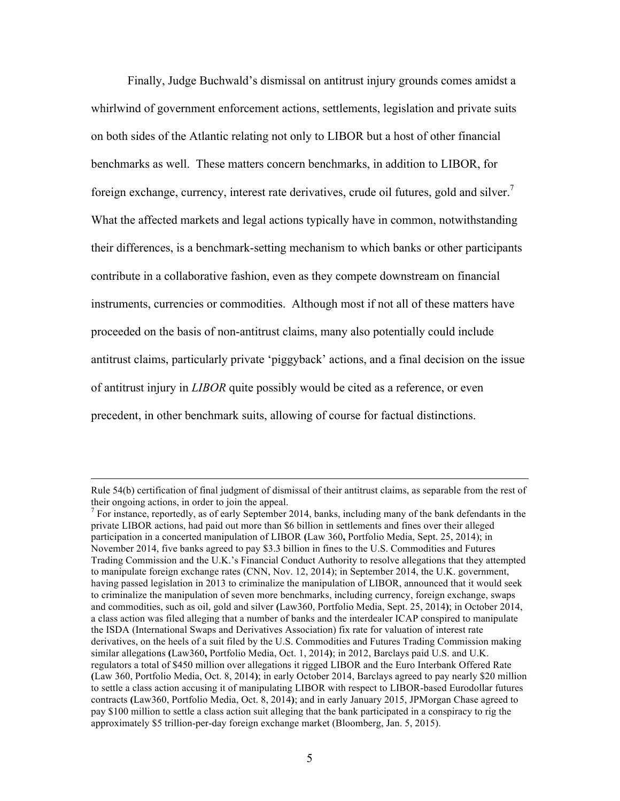Finally, Judge Buchwald's dismissal on antitrust injury grounds comes amidst a whirlwind of government enforcement actions, settlements, legislation and private suits on both sides of the Atlantic relating not only to LIBOR but a host of other financial benchmarks as well. These matters concern benchmarks, in addition to LIBOR, for foreign exchange, currency, interest rate derivatives, crude oil futures, gold and silver.<sup>7</sup> What the affected markets and legal actions typically have in common, notwithstanding their differences, is a benchmark-setting mechanism to which banks or other participants contribute in a collaborative fashion, even as they compete downstream on financial instruments, currencies or commodities. Although most if not all of these matters have proceeded on the basis of non-antitrust claims, many also potentially could include antitrust claims, particularly private 'piggyback' actions, and a final decision on the issue of antitrust injury in *LIBOR* quite possibly would be cited as a reference, or even precedent, in other benchmark suits, allowing of course for factual distinctions.

 $\overline{a}$ 

Rule 54(b) certification of final judgment of dismissal of their antitrust claims, as separable from the rest of their ongoing actions, in order to join the appeal.

 $<sup>7</sup>$  For instance, reportedly, as of early September 2014, banks, including many of the bank defendants in the</sup> private LIBOR actions, had paid out more than \$6 billion in settlements and fines over their alleged participation in a concerted manipulation of LIBOR **(**Law 360**,** Portfolio Media, Sept. 25, 2014); in November 2014, five banks agreed to pay \$3.3 billion in fines to the U.S. Commodities and Futures Trading Commission and the U.K.'s Financial Conduct Authority to resolve allegations that they attempted to manipulate foreign exchange rates (CNN, Nov. 12, 2014); in September 2014, the U.K. government, having passed legislation in 2013 to criminalize the manipulation of LIBOR, announced that it would seek to criminalize the manipulation of seven more benchmarks, including currency, foreign exchange, swaps and commodities, such as oil, gold and silver **(**Law360, Portfolio Media, Sept. 25, 2014**)**; in October 2014, a class action was filed alleging that a number of banks and the interdealer ICAP conspired to manipulate the ISDA (International Swaps and Derivatives Association) fix rate for valuation of interest rate derivatives, on the heels of a suit filed by the U.S. Commodities and Futures Trading Commission making similar allegations **(**Law360**,** Portfolio Media, Oct. 1, 2014**)**; in 2012, Barclays paid U.S. and U.K. regulators a total of \$450 million over allegations it rigged LIBOR and the Euro Interbank Offered Rate **(**Law 360, Portfolio Media, Oct. 8, 2014**)**; in early October 2014, Barclays agreed to pay nearly \$20 million to settle a class action accusing it of manipulating LIBOR with respect to LIBOR-based Eurodollar futures contracts **(**Law360, Portfolio Media, Oct. 8, 2014**)**; and in early January 2015, JPMorgan Chase agreed to pay \$100 million to settle a class action suit alleging that the bank participated in a conspiracy to rig the approximately \$5 trillion-per-day foreign exchange market (Bloomberg, Jan. 5, 2015).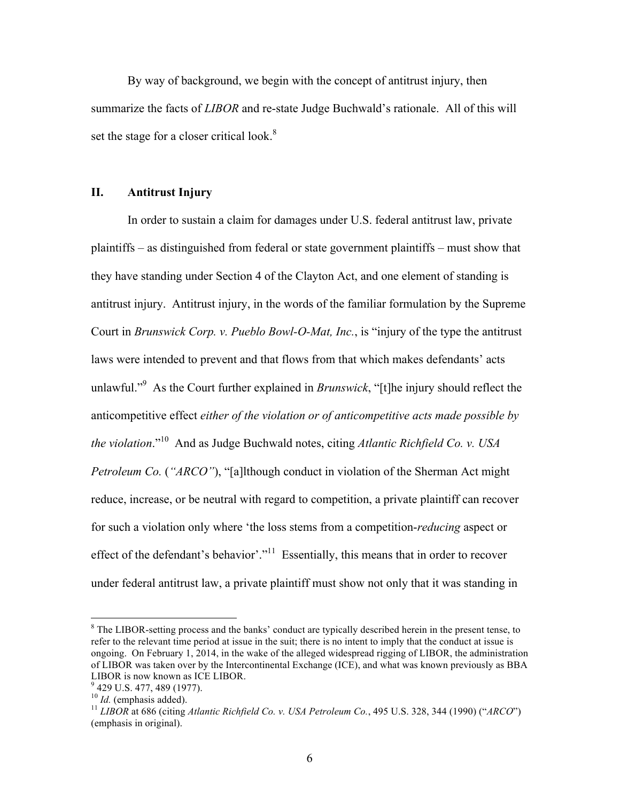By way of background, we begin with the concept of antitrust injury, then summarize the facts of *LIBOR* and re-state Judge Buchwald's rationale. All of this will set the stage for a closer critical look.<sup>8</sup>

## **II. Antitrust Injury**

In order to sustain a claim for damages under U.S. federal antitrust law, private plaintiffs – as distinguished from federal or state government plaintiffs – must show that they have standing under Section 4 of the Clayton Act, and one element of standing is antitrust injury. Antitrust injury, in the words of the familiar formulation by the Supreme Court in *Brunswick Corp. v. Pueblo Bowl-O-Mat, Inc.*, is "injury of the type the antitrust laws were intended to prevent and that flows from that which makes defendants' acts unlawful."9 As the Court further explained in *Brunswick*, "[t]he injury should reflect the anticompetitive effect *either of the violation or of anticompetitive acts made possible by the violation*."10 And as Judge Buchwald notes, citing *Atlantic Richfield Co. v. USA Petroleum Co.* (*"ARCO"*), "[a]lthough conduct in violation of the Sherman Act might reduce, increase, or be neutral with regard to competition, a private plaintiff can recover for such a violation only where 'the loss stems from a competition-*reducing* aspect or effect of the defendant's behavior'.<sup>"11</sup> Essentially, this means that in order to recover under federal antitrust law, a private plaintiff must show not only that it was standing in

<sup>&</sup>lt;sup>8</sup> The LIBOR-setting process and the banks' conduct are typically described herein in the present tense, to refer to the relevant time period at issue in the suit; there is no intent to imply that the conduct at issue is ongoing. On February 1, 2014, in the wake of the alleged widespread rigging of LIBOR, the administration of LIBOR was taken over by the Intercontinental Exchange (ICE), and what was known previously as BBA LIBOR is now known as ICE LIBOR.<br><sup>9</sup> 429 U.S. 477, 489 (1977).<br><sup>10</sup> *Id.* (emphasis added).

<sup>&</sup>lt;sup>11</sup> *LIBOR* at 686 (citing *Atlantic Richfield Co. v. USA Petroleum Co.*, 495 U.S. 328, 344 (1990) ("*ARCO*") (emphasis in original).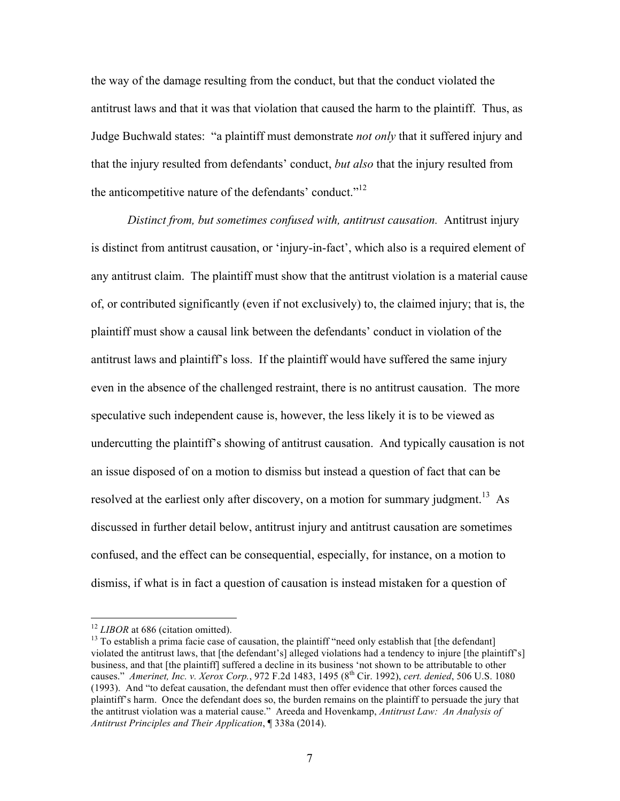the way of the damage resulting from the conduct, but that the conduct violated the antitrust laws and that it was that violation that caused the harm to the plaintiff. Thus, as Judge Buchwald states: "a plaintiff must demonstrate *not only* that it suffered injury and that the injury resulted from defendants' conduct, *but also* that the injury resulted from the anticompetitive nature of the defendants' conduct."<sup>12</sup>

*Distinct from, but sometimes confused with, antitrust causation.* Antitrust injury is distinct from antitrust causation, or 'injury-in-fact', which also is a required element of any antitrust claim. The plaintiff must show that the antitrust violation is a material cause of, or contributed significantly (even if not exclusively) to, the claimed injury; that is, the plaintiff must show a causal link between the defendants' conduct in violation of the antitrust laws and plaintiff's loss. If the plaintiff would have suffered the same injury even in the absence of the challenged restraint, there is no antitrust causation. The more speculative such independent cause is, however, the less likely it is to be viewed as undercutting the plaintiff's showing of antitrust causation. And typically causation is not an issue disposed of on a motion to dismiss but instead a question of fact that can be resolved at the earliest only after discovery, on a motion for summary judgment.<sup>13</sup> As discussed in further detail below, antitrust injury and antitrust causation are sometimes confused, and the effect can be consequential, especially, for instance, on a motion to dismiss, if what is in fact a question of causation is instead mistaken for a question of

<sup>&</sup>lt;sup>12</sup> *LIBOR* at 686 (citation omitted).<br><sup>13</sup> To establish a prima facie case of causation, the plaintiff "need only establish that [the defendant] violated the antitrust laws, that [the defendant's] alleged violations had a tendency to injure [the plaintiff's] business, and that [the plaintiff] suffered a decline in its business 'not shown to be attributable to other causes." *Amerinet, Inc. v. Xerox Corp.*, 972 F.2d 1483, 1495 (8th Cir. 1992), *cert. denied*, 506 U.S. 1080 (1993). And "to defeat causation, the defendant must then offer evidence that other forces caused the plaintiff's harm. Once the defendant does so, the burden remains on the plaintiff to persuade the jury that the antitrust violation was a material cause." Areeda and Hovenkamp, *Antitrust Law: An Analysis of Antitrust Principles and Their Application*, ¶ 338a (2014).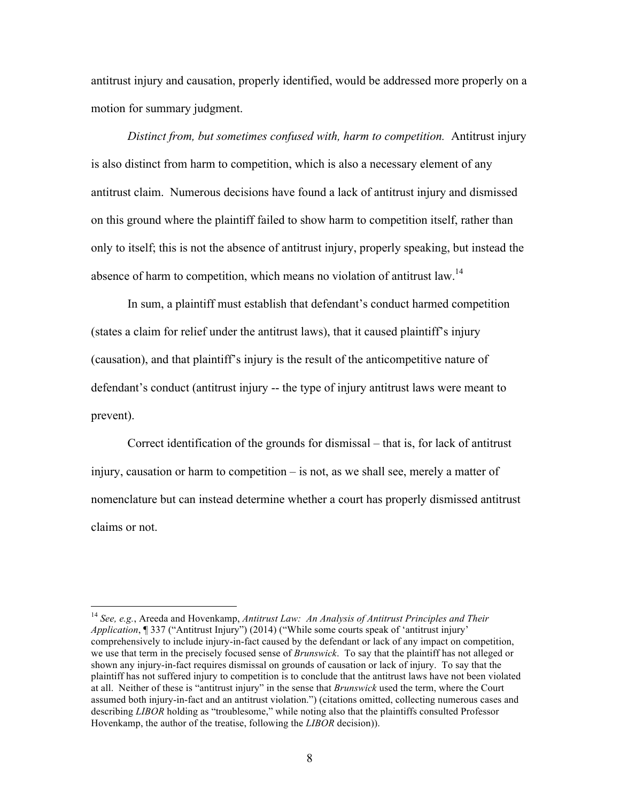antitrust injury and causation, properly identified, would be addressed more properly on a motion for summary judgment.

*Distinct from, but sometimes confused with, harm to competition.* Antitrust injury is also distinct from harm to competition, which is also a necessary element of any antitrust claim. Numerous decisions have found a lack of antitrust injury and dismissed on this ground where the plaintiff failed to show harm to competition itself, rather than only to itself; this is not the absence of antitrust injury, properly speaking, but instead the absence of harm to competition, which means no violation of antitrust law.<sup>14</sup>

In sum, a plaintiff must establish that defendant's conduct harmed competition (states a claim for relief under the antitrust laws), that it caused plaintiff's injury (causation), and that plaintiff's injury is the result of the anticompetitive nature of defendant's conduct (antitrust injury -- the type of injury antitrust laws were meant to prevent).

Correct identification of the grounds for dismissal – that is, for lack of antitrust injury, causation or harm to competition – is not, as we shall see, merely a matter of nomenclature but can instead determine whether a court has properly dismissed antitrust claims or not.

 <sup>14</sup> *See, e.g.*, Areeda and Hovenkamp, *Antitrust Law: An Analysis of Antitrust Principles and Their Application*, ¶ 337 ("Antitrust Injury") (2014) ("While some courts speak of 'antitrust injury' comprehensively to include injury-in-fact caused by the defendant or lack of any impact on competition, we use that term in the precisely focused sense of *Brunswick*. To say that the plaintiff has not alleged or shown any injury-in-fact requires dismissal on grounds of causation or lack of injury. To say that the plaintiff has not suffered injury to competition is to conclude that the antitrust laws have not been violated at all. Neither of these is "antitrust injury" in the sense that *Brunswick* used the term, where the Court assumed both injury-in-fact and an antitrust violation.") (citations omitted, collecting numerous cases and describing *LIBOR* holding as "troublesome," while noting also that the plaintiffs consulted Professor Hovenkamp, the author of the treatise, following the *LIBOR* decision)).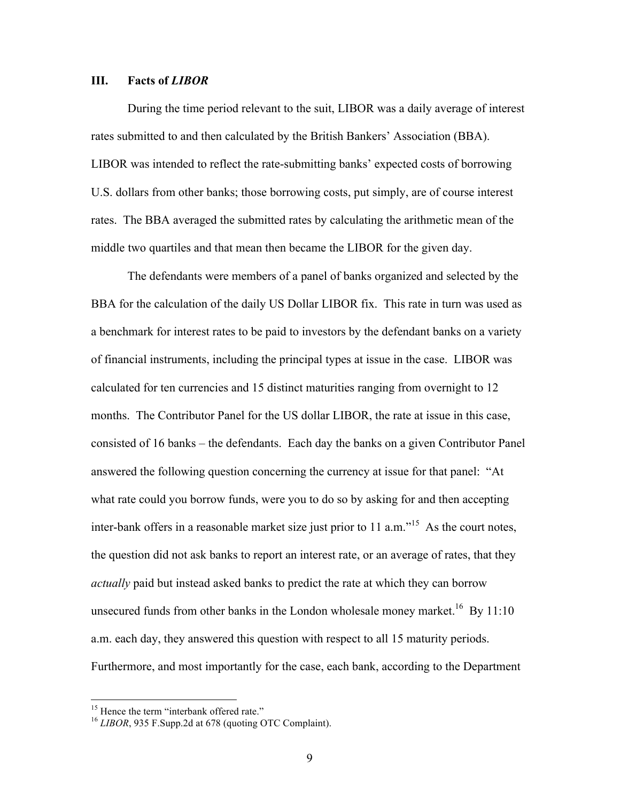### **III. Facts of** *LIBOR*

During the time period relevant to the suit, LIBOR was a daily average of interest rates submitted to and then calculated by the British Bankers' Association (BBA). LIBOR was intended to reflect the rate-submitting banks' expected costs of borrowing U.S. dollars from other banks; those borrowing costs, put simply, are of course interest rates. The BBA averaged the submitted rates by calculating the arithmetic mean of the middle two quartiles and that mean then became the LIBOR for the given day.

The defendants were members of a panel of banks organized and selected by the BBA for the calculation of the daily US Dollar LIBOR fix. This rate in turn was used as a benchmark for interest rates to be paid to investors by the defendant banks on a variety of financial instruments, including the principal types at issue in the case. LIBOR was calculated for ten currencies and 15 distinct maturities ranging from overnight to 12 months. The Contributor Panel for the US dollar LIBOR, the rate at issue in this case, consisted of 16 banks – the defendants. Each day the banks on a given Contributor Panel answered the following question concerning the currency at issue for that panel: "At what rate could you borrow funds, were you to do so by asking for and then accepting inter-bank offers in a reasonable market size just prior to 11 a.m.<sup>"15</sup> As the court notes, the question did not ask banks to report an interest rate, or an average of rates, that they *actually* paid but instead asked banks to predict the rate at which they can borrow unsecured funds from other banks in the London wholesale money market.<sup>16</sup> By 11:10 a.m. each day, they answered this question with respect to all 15 maturity periods. Furthermore, and most importantly for the case, each bank, according to the Department

<sup>&</sup>lt;sup>15</sup> Hence the term "interbank offered rate."<br><sup>16</sup> *LIBOR*, 935 F.Supp.2d at 678 (quoting OTC Complaint).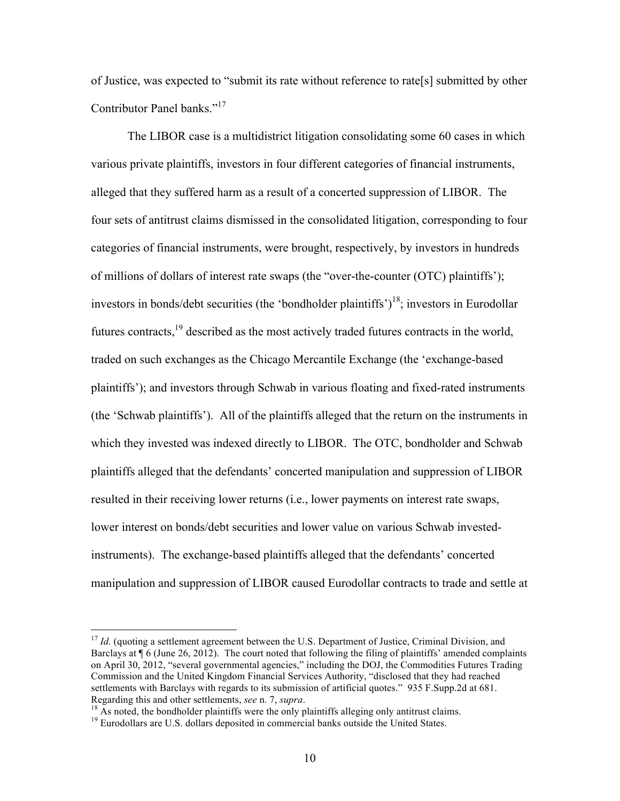of Justice, was expected to "submit its rate without reference to rate[s] submitted by other Contributor Panel banks."<sup>17</sup>

The LIBOR case is a multidistrict litigation consolidating some 60 cases in which various private plaintiffs, investors in four different categories of financial instruments, alleged that they suffered harm as a result of a concerted suppression of LIBOR. The four sets of antitrust claims dismissed in the consolidated litigation, corresponding to four categories of financial instruments, were brought, respectively, by investors in hundreds of millions of dollars of interest rate swaps (the "over-the-counter (OTC) plaintiffs'); investors in bonds/debt securities (the 'bondholder plaintiffs')<sup>18</sup>; investors in Eurodollar futures contracts, $19$  described as the most actively traded futures contracts in the world, traded on such exchanges as the Chicago Mercantile Exchange (the 'exchange-based plaintiffs'); and investors through Schwab in various floating and fixed-rated instruments (the 'Schwab plaintiffs'). All of the plaintiffs alleged that the return on the instruments in which they invested was indexed directly to LIBOR. The OTC, bondholder and Schwab plaintiffs alleged that the defendants' concerted manipulation and suppression of LIBOR resulted in their receiving lower returns (i.e., lower payments on interest rate swaps, lower interest on bonds/debt securities and lower value on various Schwab investedinstruments). The exchange-based plaintiffs alleged that the defendants' concerted manipulation and suppression of LIBOR caused Eurodollar contracts to trade and settle at

<sup>&</sup>lt;sup>17</sup> *Id.* (quoting a settlement agreement between the U.S. Department of Justice, Criminal Division, and Barclays at ¶ 6 (June 26, 2012). The court noted that following the filing of plaintiffs' amended complaints on April 30, 2012, "several governmental agencies," including the DOJ, the Commodities Futures Trading Commission and the United Kingdom Financial Services Authority, "disclosed that they had reached settlements with Barclays with regards to its submission of artificial quotes." 935 F.Supp.2d at 681. Regarding this and other settlements, *see* n. 7, *supra*.<br><sup>18</sup> As noted, the bondholder plaintiffs were the only plaintiffs alleging only antitrust claims.<br><sup>19</sup> Eurodollars are U.S. dollars deposited in commercial banks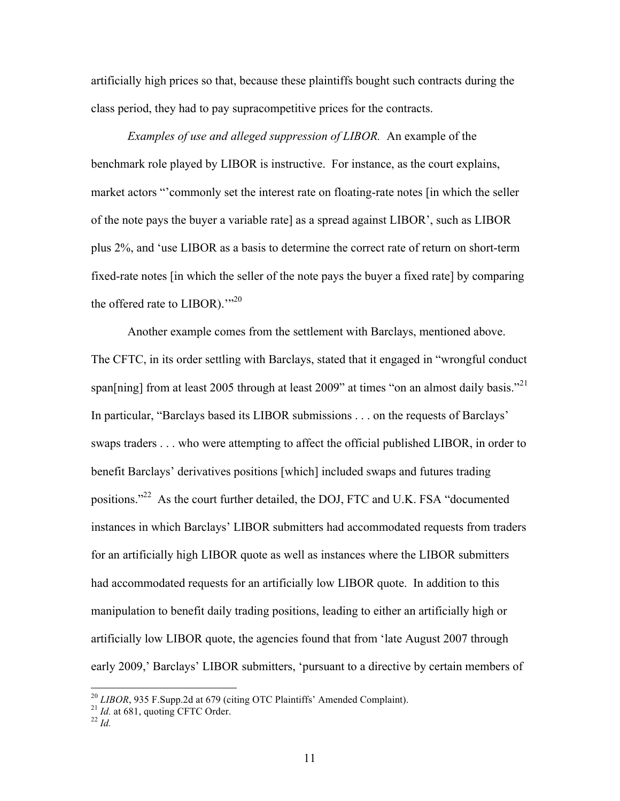artificially high prices so that, because these plaintiffs bought such contracts during the class period, they had to pay supracompetitive prices for the contracts.

*Examples of use and alleged suppression of LIBOR.* An example of the benchmark role played by LIBOR is instructive. For instance, as the court explains, market actors "'commonly set the interest rate on floating-rate notes [in which the seller of the note pays the buyer a variable rate] as a spread against LIBOR', such as LIBOR plus 2%, and 'use LIBOR as a basis to determine the correct rate of return on short-term fixed-rate notes [in which the seller of the note pays the buyer a fixed rate] by comparing the offered rate to LIBOR)."<sup>20</sup>

Another example comes from the settlement with Barclays, mentioned above. The CFTC, in its order settling with Barclays, stated that it engaged in "wrongful conduct span[ning] from at least 2005 through at least 2009" at times "on an almost daily basis."<sup>21</sup> In particular, "Barclays based its LIBOR submissions . . . on the requests of Barclays' swaps traders . . . who were attempting to affect the official published LIBOR, in order to benefit Barclays' derivatives positions [which] included swaps and futures trading positions."22 As the court further detailed, the DOJ, FTC and U.K. FSA "documented instances in which Barclays' LIBOR submitters had accommodated requests from traders for an artificially high LIBOR quote as well as instances where the LIBOR submitters had accommodated requests for an artificially low LIBOR quote. In addition to this manipulation to benefit daily trading positions, leading to either an artificially high or artificially low LIBOR quote, the agencies found that from 'late August 2007 through early 2009,' Barclays' LIBOR submitters, 'pursuant to a directive by certain members of

<sup>20</sup> *LIBOR*, 935 F.Supp.2d at 679 (citing OTC Plaintiffs' Amended Complaint). <sup>21</sup> *Id.* at 681, quoting CFTC Order. <sup>22</sup> *Id.*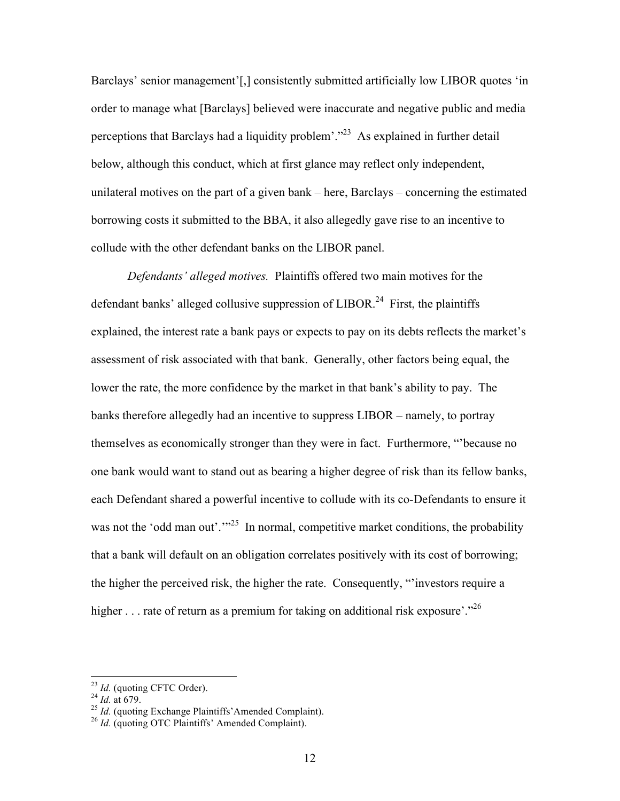Barclays' senior management'[,] consistently submitted artificially low LIBOR quotes 'in order to manage what [Barclays] believed were inaccurate and negative public and media perceptions that Barclays had a liquidity problem'."23 As explained in further detail below, although this conduct, which at first glance may reflect only independent, unilateral motives on the part of a given bank – here, Barclays – concerning the estimated borrowing costs it submitted to the BBA, it also allegedly gave rise to an incentive to collude with the other defendant banks on the LIBOR panel.

*Defendants' alleged motives.* Plaintiffs offered two main motives for the defendant banks' alleged collusive suppression of  $LIBOR<sup>24</sup>$  First, the plaintiffs explained, the interest rate a bank pays or expects to pay on its debts reflects the market's assessment of risk associated with that bank. Generally, other factors being equal, the lower the rate, the more confidence by the market in that bank's ability to pay. The banks therefore allegedly had an incentive to suppress LIBOR – namely, to portray themselves as economically stronger than they were in fact. Furthermore, "'because no one bank would want to stand out as bearing a higher degree of risk than its fellow banks, each Defendant shared a powerful incentive to collude with its co-Defendants to ensure it was not the 'odd man out'.<sup>'"25</sup> In normal, competitive market conditions, the probability that a bank will default on an obligation correlates positively with its cost of borrowing; the higher the perceived risk, the higher the rate. Consequently, "'investors require a higher . . . rate of return as a premium for taking on additional risk exposure'."<sup>26</sup>

<sup>&</sup>lt;sup>23</sup> *Id.* (quoting CFTC Order).<br><sup>24</sup> *Id.* at 679.<br><sup>25</sup> *Id.* (quoting Exchange Plaintiffs' Amended Complaint).<br><sup>26</sup> *Id.* (quoting OTC Plaintiffs' Amended Complaint).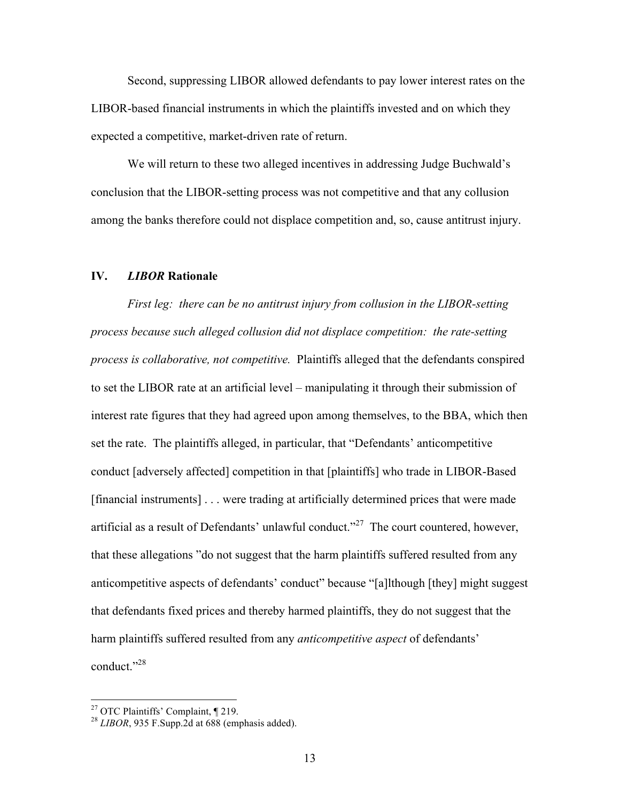Second, suppressing LIBOR allowed defendants to pay lower interest rates on the LIBOR-based financial instruments in which the plaintiffs invested and on which they expected a competitive, market-driven rate of return.

We will return to these two alleged incentives in addressing Judge Buchwald's conclusion that the LIBOR-setting process was not competitive and that any collusion among the banks therefore could not displace competition and, so, cause antitrust injury.

## **IV.** *LIBOR* **Rationale**

*First leg: there can be no antitrust injury from collusion in the LIBOR-setting process because such alleged collusion did not displace competition: the rate-setting process is collaborative, not competitive.* Plaintiffs alleged that the defendants conspired to set the LIBOR rate at an artificial level – manipulating it through their submission of interest rate figures that they had agreed upon among themselves, to the BBA, which then set the rate. The plaintiffs alleged, in particular, that "Defendants' anticompetitive conduct [adversely affected] competition in that [plaintiffs] who trade in LIBOR-Based [financial instruments] . . . were trading at artificially determined prices that were made artificial as a result of Defendants' unlawful conduct."<sup>27</sup> The court countered, however, that these allegations "do not suggest that the harm plaintiffs suffered resulted from any anticompetitive aspects of defendants' conduct" because "[a]lthough [they] might suggest that defendants fixed prices and thereby harmed plaintiffs, they do not suggest that the harm plaintiffs suffered resulted from any *anticompetitive aspect* of defendants' conduct."<sup>28</sup>

<sup>&</sup>lt;sup>27</sup> OTC Plaintiffs' Complaint, ¶ 219.<br><sup>28</sup> *LIBOR*, 935 F.Supp.2d at 688 (emphasis added).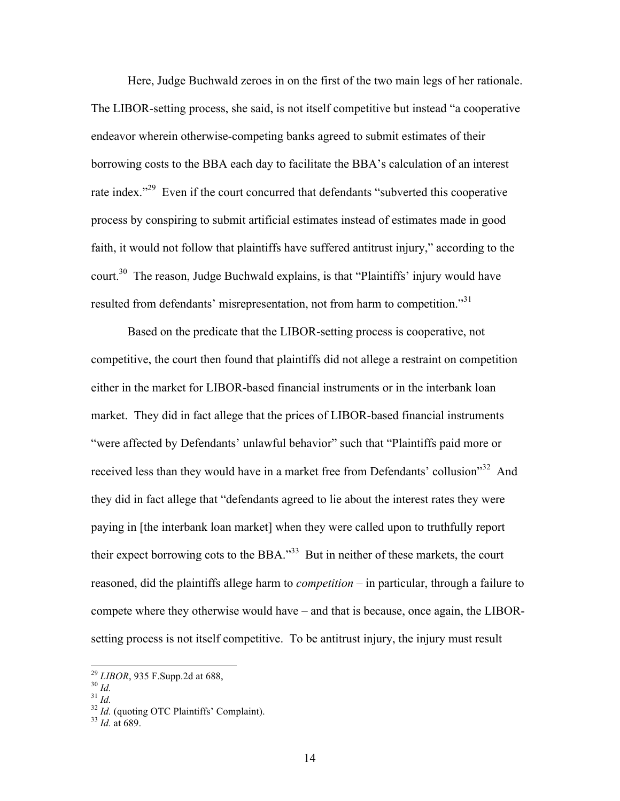Here, Judge Buchwald zeroes in on the first of the two main legs of her rationale. The LIBOR-setting process, she said, is not itself competitive but instead "a cooperative endeavor wherein otherwise-competing banks agreed to submit estimates of their borrowing costs to the BBA each day to facilitate the BBA's calculation of an interest rate index."<sup>29</sup> Even if the court concurred that defendants "subverted this cooperative process by conspiring to submit artificial estimates instead of estimates made in good faith, it would not follow that plaintiffs have suffered antitrust injury," according to the court.<sup>30</sup> The reason, Judge Buchwald explains, is that "Plaintiffs' injury would have resulted from defendants' misrepresentation, not from harm to competition."<sup>31</sup>

Based on the predicate that the LIBOR-setting process is cooperative, not competitive, the court then found that plaintiffs did not allege a restraint on competition either in the market for LIBOR-based financial instruments or in the interbank loan market. They did in fact allege that the prices of LIBOR-based financial instruments "were affected by Defendants' unlawful behavior" such that "Plaintiffs paid more or received less than they would have in a market free from Defendants' collusion"<sup>32</sup> And they did in fact allege that "defendants agreed to lie about the interest rates they were paying in [the interbank loan market] when they were called upon to truthfully report their expect borrowing cots to the BBA."33 But in neither of these markets, the court reasoned, did the plaintiffs allege harm to *competition* – in particular, through a failure to compete where they otherwise would have – and that is because, once again, the LIBORsetting process is not itself competitive. To be antitrust injury, the injury must result

<sup>&</sup>lt;sup>29</sup> *LIBOR*, 935 F.Supp.2d at 688,<br><sup>30</sup> *Id.*<br><sup>31</sup> *Id.* (quoting OTC Plaintiffs' Complaint).<br><sup>33</sup> *Id.* at 689.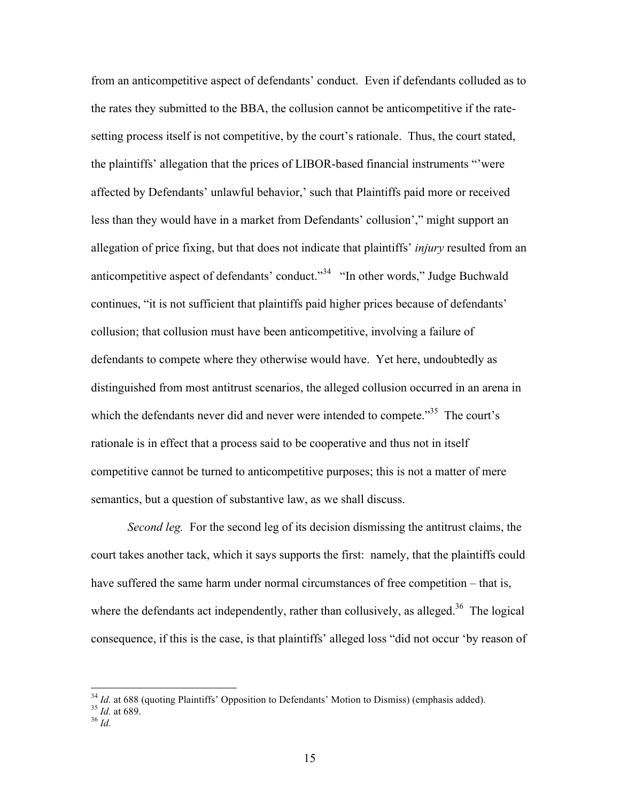from an anticompetitive aspect of defendants' conduct. Even if defendants colluded as to the rates they submitted to the BBA, the collusion cannot be anticompetitive if the ratesetting process itself is not competitive, by the court's rationale. Thus, the court stated, the plaintiffs' allegation that the prices of LIBOR-based financial instruments "'were affected by Defendants' unlawful behavior,' such that Plaintiffs paid more or received less than they would have in a market from Defendants' collusion'," might support an allegation of price fixing, but that does not indicate that plaintiffs' *injury* resulted from an anticompetitive aspect of defendants' conduct."34 "In other words," Judge Buchwald continues, "it is not sufficient that plaintiffs paid higher prices because of defendants' collusion; that collusion must have been anticompetitive, involving a failure of defendants to compete where they otherwise would have. Yet here, undoubtedly as distinguished from most antitrust scenarios, the alleged collusion occurred in an arena in which the defendants never did and never were intended to compete."<sup>35</sup> The court's rationale is in effect that a process said to be cooperative and thus not in itself competitive cannot be turned to anticompetitive purposes; this is not a matter of mere semantics, but a question of substantive law, as we shall discuss.

*Second leg.* For the second leg of its decision dismissing the antitrust claims, the court takes another tack, which it says supports the first: namely, that the plaintiffs could have suffered the same harm under normal circumstances of free competition – that is, where the defendants act independently, rather than collusively, as alleged.<sup>36</sup> The logical consequence, if this is the case, is that plaintiffs' alleged loss "did not occur 'by reason of

<sup>&</sup>lt;sup>34</sup> *Id.* at 688 (quoting Plaintiffs' Opposition to Defendants' Motion to Dismiss) (emphasis added). <sup>35</sup> *Id.* at 689. <sup>36</sup> *Id.*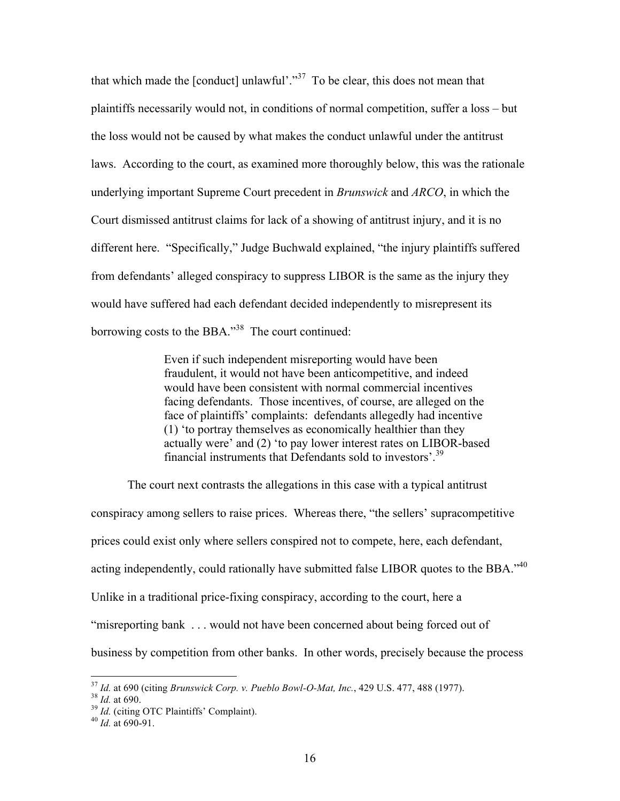that which made the [conduct] unlawful'." $37$  To be clear, this does not mean that plaintiffs necessarily would not, in conditions of normal competition, suffer a loss – but the loss would not be caused by what makes the conduct unlawful under the antitrust laws. According to the court, as examined more thoroughly below, this was the rationale underlying important Supreme Court precedent in *Brunswick* and *ARCO*, in which the Court dismissed antitrust claims for lack of a showing of antitrust injury, and it is no different here. "Specifically," Judge Buchwald explained, "the injury plaintiffs suffered from defendants' alleged conspiracy to suppress LIBOR is the same as the injury they would have suffered had each defendant decided independently to misrepresent its borrowing costs to the BBA."<sup>38</sup> The court continued:

> Even if such independent misreporting would have been fraudulent, it would not have been anticompetitive, and indeed would have been consistent with normal commercial incentives facing defendants. Those incentives, of course, are alleged on the face of plaintiffs' complaints: defendants allegedly had incentive (1) 'to portray themselves as economically healthier than they actually were' and (2) 'to pay lower interest rates on LIBOR-based financial instruments that Defendants sold to investors'.39

The court next contrasts the allegations in this case with a typical antitrust conspiracy among sellers to raise prices. Whereas there, "the sellers' supracompetitive prices could exist only where sellers conspired not to compete, here, each defendant, acting independently, could rationally have submitted false LIBOR quotes to the BBA."<sup>40</sup> Unlike in a traditional price-fixing conspiracy, according to the court, here a "misreporting bank . . . would not have been concerned about being forced out of business by competition from other banks. In other words, precisely because the process

<sup>&</sup>lt;sup>37</sup> *Id.* at 690 (citing *Brunswick Corp. v. Pueblo Bowl-O-Mat, Inc.*, 429 U.S. 477, 488 (1977).<br><sup>38</sup> *Id.* at 690.<br><sup>39</sup> *Id.* (citing OTC Plaintiffs' Complaint).<br><sup>40</sup> *Id.* at 690-91.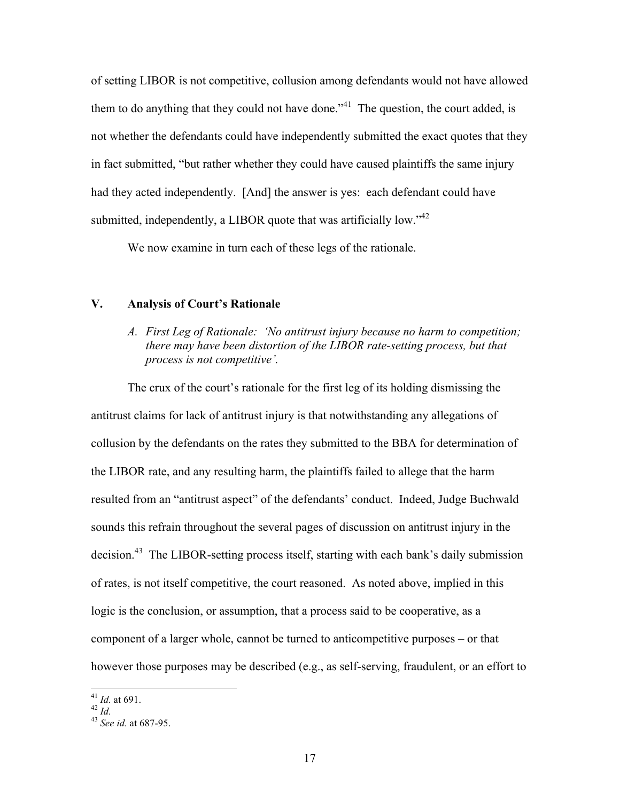of setting LIBOR is not competitive, collusion among defendants would not have allowed them to do anything that they could not have done.<sup> $1$ </sup><sup>1</sup> The question, the court added, is not whether the defendants could have independently submitted the exact quotes that they in fact submitted, "but rather whether they could have caused plaintiffs the same injury had they acted independently. [And] the answer is yes: each defendant could have submitted, independently, a LIBOR quote that was artificially low.<sup> $342$ </sup>

We now examine in turn each of these legs of the rationale.

## **V. Analysis of Court's Rationale**

*A. First Leg of Rationale: 'No antitrust injury because no harm to competition; there may have been distortion of the LIBOR rate-setting process, but that process is not competitive'.*

The crux of the court's rationale for the first leg of its holding dismissing the antitrust claims for lack of antitrust injury is that notwithstanding any allegations of collusion by the defendants on the rates they submitted to the BBA for determination of the LIBOR rate, and any resulting harm, the plaintiffs failed to allege that the harm resulted from an "antitrust aspect" of the defendants' conduct. Indeed, Judge Buchwald sounds this refrain throughout the several pages of discussion on antitrust injury in the decision.<sup>43</sup> The LIBOR-setting process itself, starting with each bank's daily submission of rates, is not itself competitive, the court reasoned. As noted above, implied in this logic is the conclusion, or assumption, that a process said to be cooperative, as a component of a larger whole, cannot be turned to anticompetitive purposes – or that however those purposes may be described (e.g., as self-serving, fraudulent, or an effort to

<sup>41</sup> *Id.* at 691. <sup>42</sup> *Id.* <sup>43</sup> *See id.* at 687-95.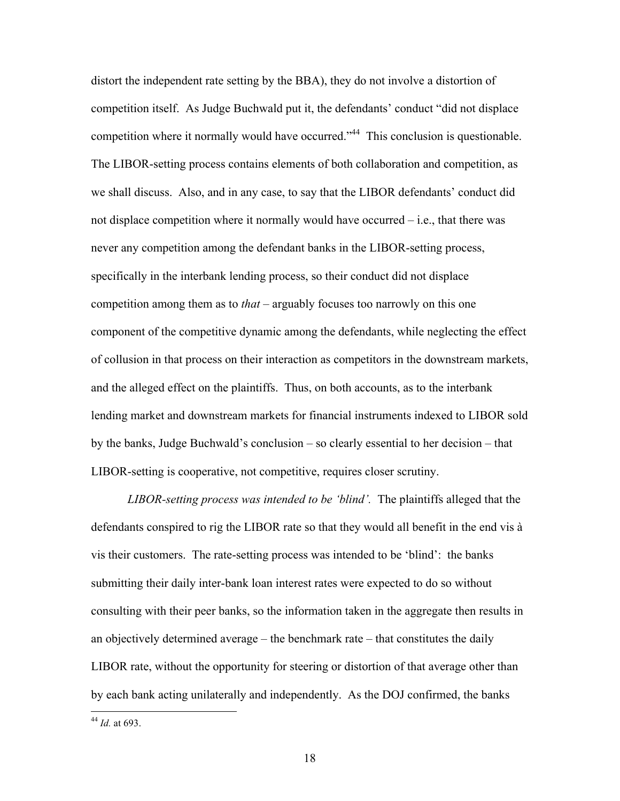distort the independent rate setting by the BBA), they do not involve a distortion of competition itself. As Judge Buchwald put it, the defendants' conduct "did not displace competition where it normally would have occurred.<sup> $34$ </sup> This conclusion is questionable. The LIBOR-setting process contains elements of both collaboration and competition, as we shall discuss. Also, and in any case, to say that the LIBOR defendants' conduct did not displace competition where it normally would have occurred  $-$  i.e., that there was never any competition among the defendant banks in the LIBOR-setting process, specifically in the interbank lending process, so their conduct did not displace competition among them as to *that* – arguably focuses too narrowly on this one component of the competitive dynamic among the defendants, while neglecting the effect of collusion in that process on their interaction as competitors in the downstream markets, and the alleged effect on the plaintiffs. Thus, on both accounts, as to the interbank lending market and downstream markets for financial instruments indexed to LIBOR sold by the banks, Judge Buchwald's conclusion – so clearly essential to her decision – that LIBOR-setting is cooperative, not competitive, requires closer scrutiny.

*LIBOR-setting process was intended to be 'blind'.* The plaintiffs alleged that the defendants conspired to rig the LIBOR rate so that they would all benefit in the end vis à vis their customers. The rate-setting process was intended to be 'blind': the banks submitting their daily inter-bank loan interest rates were expected to do so without consulting with their peer banks, so the information taken in the aggregate then results in an objectively determined average – the benchmark rate – that constitutes the daily LIBOR rate, without the opportunity for steering or distortion of that average other than by each bank acting unilaterally and independently. As the DOJ confirmed, the banks

 <sup>44</sup> *Id.* at 693.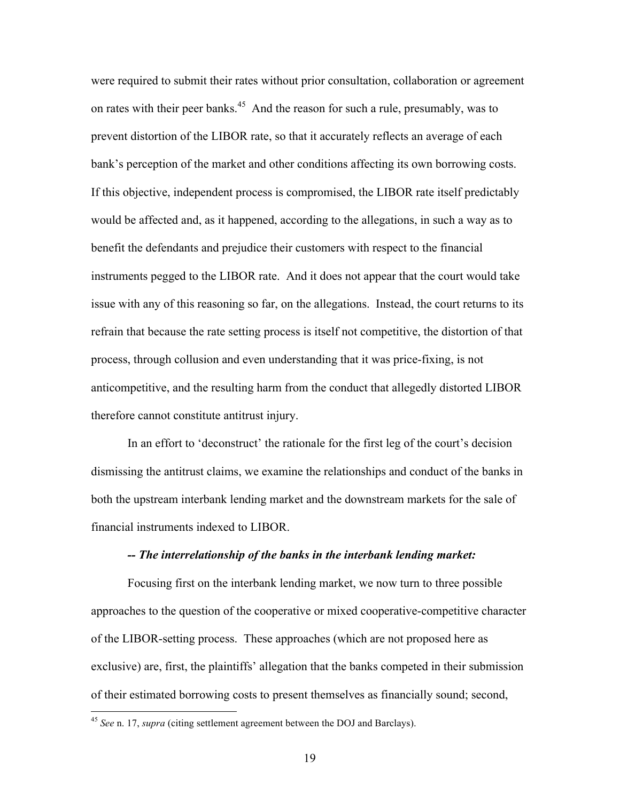were required to submit their rates without prior consultation, collaboration or agreement on rates with their peer banks.<sup>45</sup> And the reason for such a rule, presumably, was to prevent distortion of the LIBOR rate, so that it accurately reflects an average of each bank's perception of the market and other conditions affecting its own borrowing costs. If this objective, independent process is compromised, the LIBOR rate itself predictably would be affected and, as it happened, according to the allegations, in such a way as to benefit the defendants and prejudice their customers with respect to the financial instruments pegged to the LIBOR rate. And it does not appear that the court would take issue with any of this reasoning so far, on the allegations. Instead, the court returns to its refrain that because the rate setting process is itself not competitive, the distortion of that process, through collusion and even understanding that it was price-fixing, is not anticompetitive, and the resulting harm from the conduct that allegedly distorted LIBOR therefore cannot constitute antitrust injury.

In an effort to 'deconstruct' the rationale for the first leg of the court's decision dismissing the antitrust claims, we examine the relationships and conduct of the banks in both the upstream interbank lending market and the downstream markets for the sale of financial instruments indexed to LIBOR.

#### *-- The interrelationship of the banks in the interbank lending market:*

Focusing first on the interbank lending market, we now turn to three possible approaches to the question of the cooperative or mixed cooperative-competitive character of the LIBOR-setting process. These approaches (which are not proposed here as exclusive) are, first, the plaintiffs' allegation that the banks competed in their submission of their estimated borrowing costs to present themselves as financially sound; second,

 <sup>45</sup> *See* n. 17, *supra* (citing settlement agreement between the DOJ and Barclays).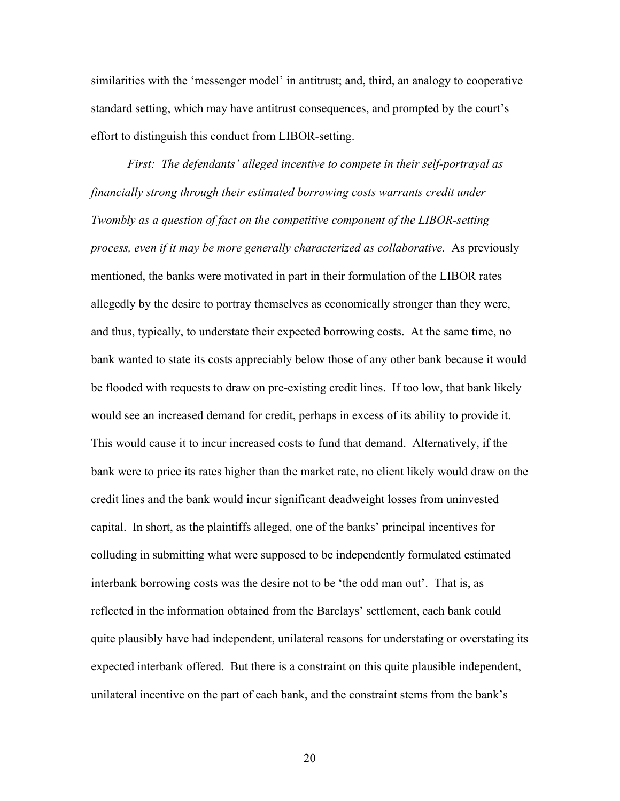similarities with the 'messenger model' in antitrust; and, third, an analogy to cooperative standard setting, which may have antitrust consequences, and prompted by the court's effort to distinguish this conduct from LIBOR-setting.

*First: The defendants' alleged incentive to compete in their self-portrayal as financially strong through their estimated borrowing costs warrants credit under Twombly as a question of fact on the competitive component of the LIBOR-setting process, even if it may be more generally characterized as collaborative.* As previously mentioned, the banks were motivated in part in their formulation of the LIBOR rates allegedly by the desire to portray themselves as economically stronger than they were, and thus, typically, to understate their expected borrowing costs. At the same time, no bank wanted to state its costs appreciably below those of any other bank because it would be flooded with requests to draw on pre-existing credit lines. If too low, that bank likely would see an increased demand for credit, perhaps in excess of its ability to provide it. This would cause it to incur increased costs to fund that demand. Alternatively, if the bank were to price its rates higher than the market rate, no client likely would draw on the credit lines and the bank would incur significant deadweight losses from uninvested capital. In short, as the plaintiffs alleged, one of the banks' principal incentives for colluding in submitting what were supposed to be independently formulated estimated interbank borrowing costs was the desire not to be 'the odd man out'. That is, as reflected in the information obtained from the Barclays' settlement, each bank could quite plausibly have had independent, unilateral reasons for understating or overstating its expected interbank offered. But there is a constraint on this quite plausible independent, unilateral incentive on the part of each bank, and the constraint stems from the bank's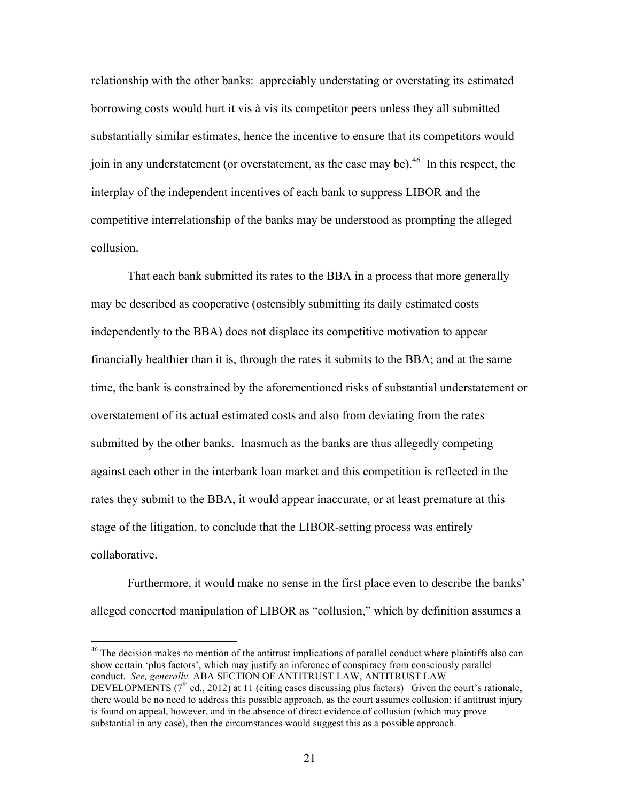relationship with the other banks: appreciably understating or overstating its estimated borrowing costs would hurt it vis à vis its competitor peers unless they all submitted substantially similar estimates, hence the incentive to ensure that its competitors would join in any understatement (or overstatement, as the case may be).<sup>46</sup> In this respect, the interplay of the independent incentives of each bank to suppress LIBOR and the competitive interrelationship of the banks may be understood as prompting the alleged collusion.

That each bank submitted its rates to the BBA in a process that more generally may be described as cooperative (ostensibly submitting its daily estimated costs independently to the BBA) does not displace its competitive motivation to appear financially healthier than it is, through the rates it submits to the BBA; and at the same time, the bank is constrained by the aforementioned risks of substantial understatement or overstatement of its actual estimated costs and also from deviating from the rates submitted by the other banks. Inasmuch as the banks are thus allegedly competing against each other in the interbank loan market and this competition is reflected in the rates they submit to the BBA, it would appear inaccurate, or at least premature at this stage of the litigation, to conclude that the LIBOR-setting process was entirely collaborative.

Furthermore, it would make no sense in the first place even to describe the banks' alleged concerted manipulation of LIBOR as "collusion," which by definition assumes a

<sup>46</sup> The decision makes no mention of the antitrust implications of parallel conduct where plaintiffs also can show certain 'plus factors', which may justify an inference of conspiracy from consciously parallel conduct. *See, generally,* ABA SECTION OF ANTITRUST LAW, ANTITRUST LAW DEVELOPMENTS ( $7^{\text{th}}$  ed., 2012) at 11 (citing cases discussing plus factors) Given the court's rationale, there would be no need to address this possible approach, as the court assumes collusion; if antitrust injury is found on appeal, however, and in the absence of direct evidence of collusion (which may prove substantial in any case), then the circumstances would suggest this as a possible approach.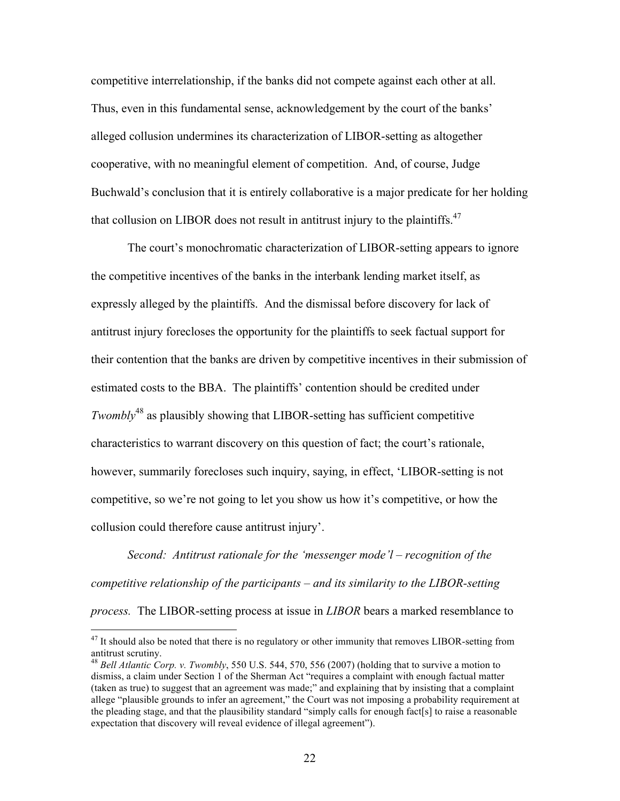competitive interrelationship, if the banks did not compete against each other at all. Thus, even in this fundamental sense, acknowledgement by the court of the banks' alleged collusion undermines its characterization of LIBOR-setting as altogether cooperative, with no meaningful element of competition. And, of course, Judge Buchwald's conclusion that it is entirely collaborative is a major predicate for her holding that collusion on LIBOR does not result in antitrust injury to the plaintiffs.<sup>47</sup>

The court's monochromatic characterization of LIBOR-setting appears to ignore the competitive incentives of the banks in the interbank lending market itself, as expressly alleged by the plaintiffs. And the dismissal before discovery for lack of antitrust injury forecloses the opportunity for the plaintiffs to seek factual support for their contention that the banks are driven by competitive incentives in their submission of estimated costs to the BBA. The plaintiffs' contention should be credited under *Twombly*<sup>48</sup> as plausibly showing that LIBOR-setting has sufficient competitive characteristics to warrant discovery on this question of fact; the court's rationale, however, summarily forecloses such inquiry, saying, in effect, 'LIBOR-setting is not competitive, so we're not going to let you show us how it's competitive, or how the collusion could therefore cause antitrust injury'.

*Second: Antitrust rationale for the 'messenger mode'l – recognition of the competitive relationship of the participants – and its similarity to the LIBOR-setting process.* The LIBOR-setting process at issue in *LIBOR* bears a marked resemblance to

 $47$  It should also be noted that there is no regulatory or other immunity that removes LIBOR-setting from antitrust scrutiny.

<sup>48</sup> *Bell Atlantic Corp. v. Twombly*, 550 U.S. 544, 570, 556 (2007) (holding that to survive a motion to dismiss, a claim under Section 1 of the Sherman Act "requires a complaint with enough factual matter (taken as true) to suggest that an agreement was made;" and explaining that by insisting that a complaint allege "plausible grounds to infer an agreement," the Court was not imposing a probability requirement at the pleading stage, and that the plausibility standard "simply calls for enough fact[s] to raise a reasonable expectation that discovery will reveal evidence of illegal agreement").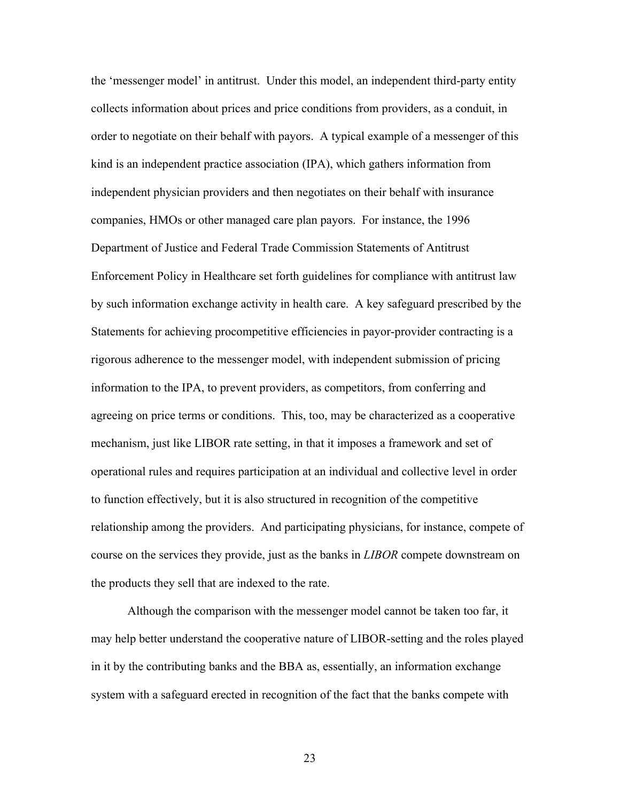the 'messenger model' in antitrust. Under this model, an independent third-party entity collects information about prices and price conditions from providers, as a conduit, in order to negotiate on their behalf with payors. A typical example of a messenger of this kind is an independent practice association (IPA), which gathers information from independent physician providers and then negotiates on their behalf with insurance companies, HMOs or other managed care plan payors. For instance, the 1996 Department of Justice and Federal Trade Commission Statements of Antitrust Enforcement Policy in Healthcare set forth guidelines for compliance with antitrust law by such information exchange activity in health care. A key safeguard prescribed by the Statements for achieving procompetitive efficiencies in payor-provider contracting is a rigorous adherence to the messenger model, with independent submission of pricing information to the IPA, to prevent providers, as competitors, from conferring and agreeing on price terms or conditions. This, too, may be characterized as a cooperative mechanism, just like LIBOR rate setting, in that it imposes a framework and set of operational rules and requires participation at an individual and collective level in order to function effectively, but it is also structured in recognition of the competitive relationship among the providers. And participating physicians, for instance, compete of course on the services they provide, just as the banks in *LIBOR* compete downstream on the products they sell that are indexed to the rate.

Although the comparison with the messenger model cannot be taken too far, it may help better understand the cooperative nature of LIBOR-setting and the roles played in it by the contributing banks and the BBA as, essentially, an information exchange system with a safeguard erected in recognition of the fact that the banks compete with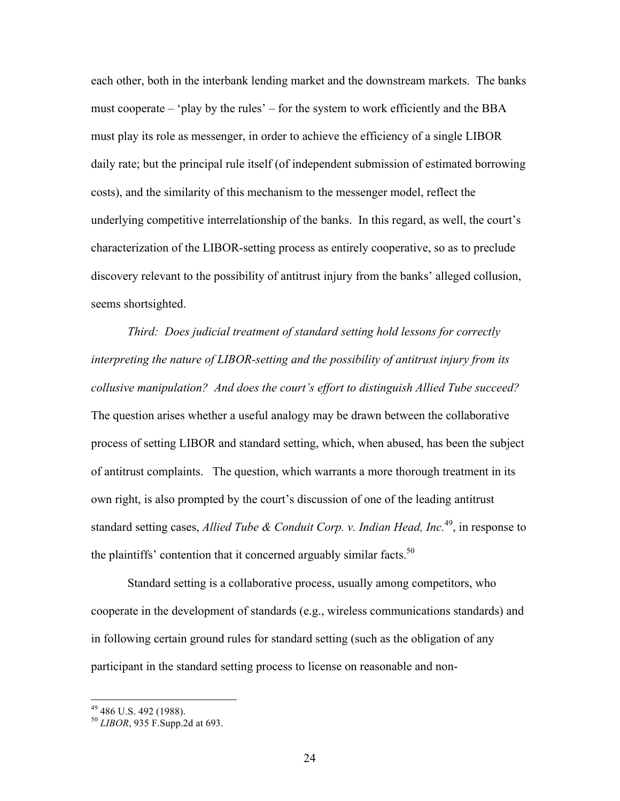each other, both in the interbank lending market and the downstream markets. The banks must cooperate – 'play by the rules' – for the system to work efficiently and the BBA must play its role as messenger, in order to achieve the efficiency of a single LIBOR daily rate; but the principal rule itself (of independent submission of estimated borrowing costs), and the similarity of this mechanism to the messenger model, reflect the underlying competitive interrelationship of the banks. In this regard, as well, the court's characterization of the LIBOR-setting process as entirely cooperative, so as to preclude discovery relevant to the possibility of antitrust injury from the banks' alleged collusion, seems shortsighted.

*Third: Does judicial treatment of standard setting hold lessons for correctly interpreting the nature of LIBOR-setting and the possibility of antitrust injury from its collusive manipulation? And does the court's effort to distinguish Allied Tube succeed?* The question arises whether a useful analogy may be drawn between the collaborative process of setting LIBOR and standard setting, which, when abused, has been the subject of antitrust complaints. The question, which warrants a more thorough treatment in its own right, is also prompted by the court's discussion of one of the leading antitrust standard setting cases, *Allied Tube & Conduit Corp. v. Indian Head, Inc.*49, in response to the plaintiffs' contention that it concerned arguably similar facts.<sup>50</sup>

Standard setting is a collaborative process, usually among competitors, who cooperate in the development of standards (e.g., wireless communications standards) and in following certain ground rules for standard setting (such as the obligation of any participant in the standard setting process to license on reasonable and non-

<sup>49</sup> 486 U.S. 492 (1988). <sup>50</sup> *LIBOR*, 935 F.Supp.2d at 693.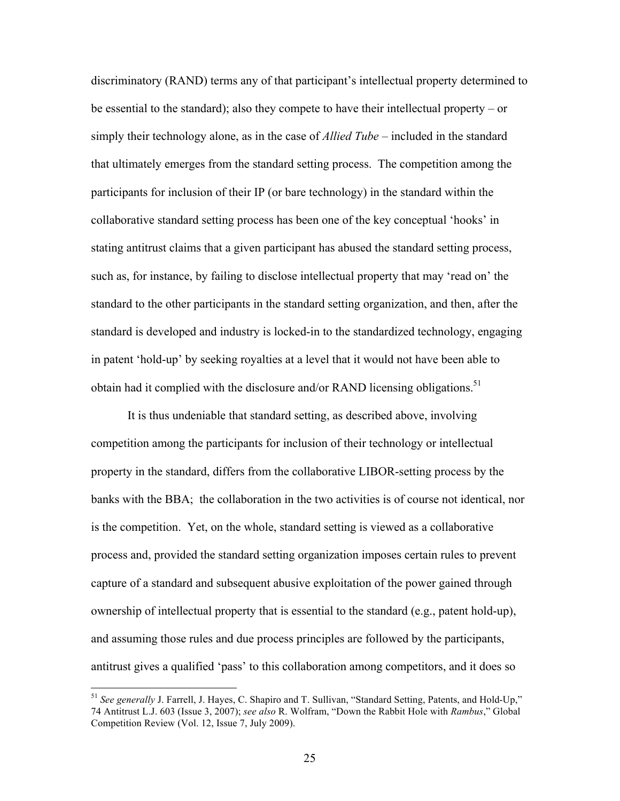discriminatory (RAND) terms any of that participant's intellectual property determined to be essential to the standard); also they compete to have their intellectual property – or simply their technology alone, as in the case of *Allied Tube* – included in the standard that ultimately emerges from the standard setting process. The competition among the participants for inclusion of their IP (or bare technology) in the standard within the collaborative standard setting process has been one of the key conceptual 'hooks' in stating antitrust claims that a given participant has abused the standard setting process, such as, for instance, by failing to disclose intellectual property that may 'read on' the standard to the other participants in the standard setting organization, and then, after the standard is developed and industry is locked-in to the standardized technology, engaging in patent 'hold-up' by seeking royalties at a level that it would not have been able to obtain had it complied with the disclosure and/or RAND licensing obligations.<sup>51</sup>

It is thus undeniable that standard setting, as described above, involving competition among the participants for inclusion of their technology or intellectual property in the standard, differs from the collaborative LIBOR-setting process by the banks with the BBA; the collaboration in the two activities is of course not identical, nor is the competition. Yet, on the whole, standard setting is viewed as a collaborative process and, provided the standard setting organization imposes certain rules to prevent capture of a standard and subsequent abusive exploitation of the power gained through ownership of intellectual property that is essential to the standard (e.g., patent hold-up), and assuming those rules and due process principles are followed by the participants, antitrust gives a qualified 'pass' to this collaboration among competitors, and it does so

 <sup>51</sup> *See generally* J. Farrell, J. Hayes, C. Shapiro and T. Sullivan, "Standard Setting, Patents, and Hold-Up," 74 Antitrust L.J. 603 (Issue 3, 2007); *see also* R. Wolfram, "Down the Rabbit Hole with *Rambus*," Global Competition Review (Vol. 12, Issue 7, July 2009).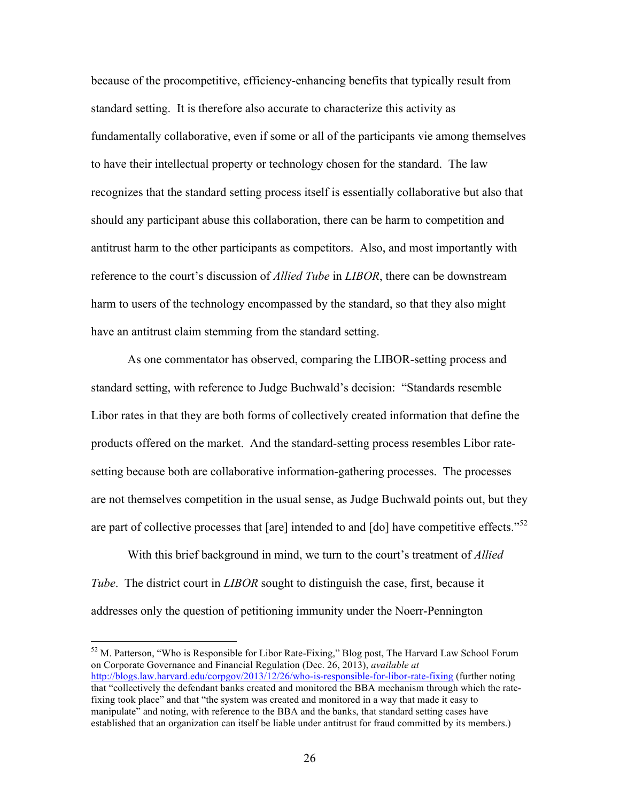because of the procompetitive, efficiency-enhancing benefits that typically result from standard setting. It is therefore also accurate to characterize this activity as fundamentally collaborative, even if some or all of the participants vie among themselves to have their intellectual property or technology chosen for the standard. The law recognizes that the standard setting process itself is essentially collaborative but also that should any participant abuse this collaboration, there can be harm to competition and antitrust harm to the other participants as competitors. Also, and most importantly with reference to the court's discussion of *Allied Tube* in *LIBOR*, there can be downstream harm to users of the technology encompassed by the standard, so that they also might have an antitrust claim stemming from the standard setting.

As one commentator has observed, comparing the LIBOR-setting process and standard setting, with reference to Judge Buchwald's decision: "Standards resemble Libor rates in that they are both forms of collectively created information that define the products offered on the market. And the standard-setting process resembles Libor ratesetting because both are collaborative information-gathering processes. The processes are not themselves competition in the usual sense, as Judge Buchwald points out, but they are part of collective processes that [are] intended to and [do] have competitive effects."<sup>52</sup>

With this brief background in mind, we turn to the court's treatment of *Allied Tube*. The district court in *LIBOR* sought to distinguish the case, first, because it addresses only the question of petitioning immunity under the Noerr-Pennington

<sup>52</sup> M. Patterson, "Who is Responsible for Libor Rate-Fixing," Blog post, The Harvard Law School Forum on Corporate Governance and Financial Regulation (Dec. 26, 2013), *available at* http://blogs.law.harvard.edu/corpgov/2013/12/26/who-is-responsible-for-libor-rate-fixing (further noting that "collectively the defendant banks created and monitored the BBA mechanism through which the ratefixing took place" and that "the system was created and monitored in a way that made it easy to manipulate" and noting, with reference to the BBA and the banks, that standard setting cases have established that an organization can itself be liable under antitrust for fraud committed by its members.)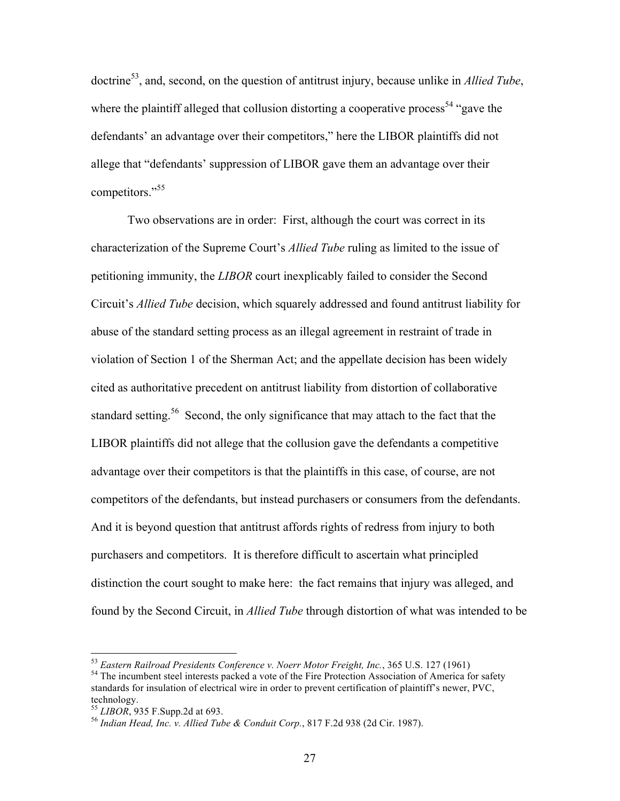doctrine53, and, second, on the question of antitrust injury, because unlike in *Allied Tube*, where the plaintiff alleged that collusion distorting a cooperative process<sup>54</sup> "gave the defendants' an advantage over their competitors," here the LIBOR plaintiffs did not allege that "defendants' suppression of LIBOR gave them an advantage over their competitors."<sup>55</sup>

Two observations are in order: First, although the court was correct in its characterization of the Supreme Court's *Allied Tube* ruling as limited to the issue of petitioning immunity, the *LIBOR* court inexplicably failed to consider the Second Circuit's *Allied Tube* decision, which squarely addressed and found antitrust liability for abuse of the standard setting process as an illegal agreement in restraint of trade in violation of Section 1 of the Sherman Act; and the appellate decision has been widely cited as authoritative precedent on antitrust liability from distortion of collaborative standard setting.<sup>56</sup> Second, the only significance that may attach to the fact that the LIBOR plaintiffs did not allege that the collusion gave the defendants a competitive advantage over their competitors is that the plaintiffs in this case, of course, are not competitors of the defendants, but instead purchasers or consumers from the defendants. And it is beyond question that antitrust affords rights of redress from injury to both purchasers and competitors. It is therefore difficult to ascertain what principled distinction the court sought to make here: the fact remains that injury was alleged, and found by the Second Circuit, in *Allied Tube* through distortion of what was intended to be

<sup>&</sup>lt;sup>53</sup> *Eastern Railroad Presidents Conference v. Noerr Motor Freight, Inc.*, 365 U.S. 127 (1961)<br><sup>54</sup> The incumbent steel interests packed a vote of the Fire Protection Association of America for safety

standards for insulation of electrical wire in order to prevent certification of plaintiff's newer, PVC, technology.<br><sup>55</sup> *LIBOR*, 935 F.Supp.2d at 693.

<sup>&</sup>lt;sup>56</sup> Indian Head, Inc. v. Allied Tube & Conduit Corp., 817 F.2d 938 (2d Cir. 1987).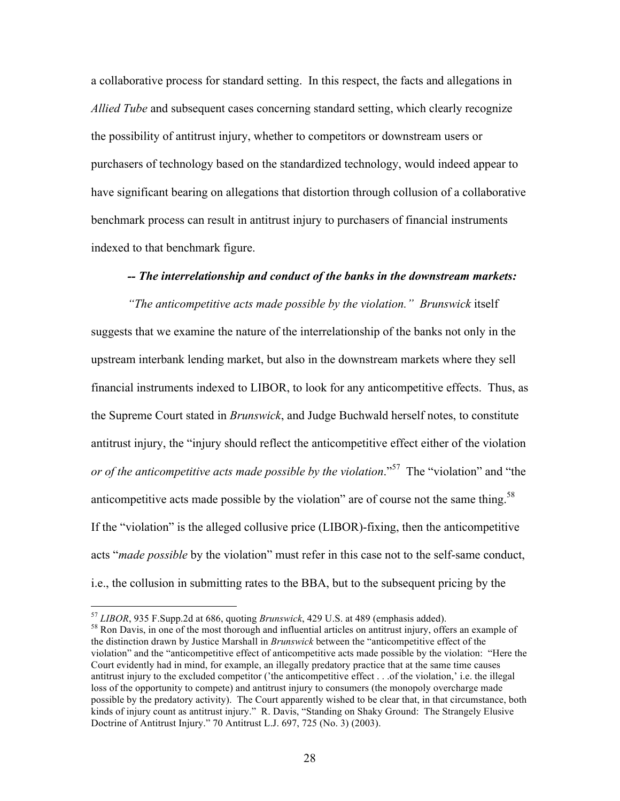a collaborative process for standard setting. In this respect, the facts and allegations in *Allied Tube* and subsequent cases concerning standard setting, which clearly recognize the possibility of antitrust injury, whether to competitors or downstream users or purchasers of technology based on the standardized technology, would indeed appear to have significant bearing on allegations that distortion through collusion of a collaborative benchmark process can result in antitrust injury to purchasers of financial instruments indexed to that benchmark figure.

## *-- The interrelationship and conduct of the banks in the downstream markets:*

*"The anticompetitive acts made possible by the violation." Brunswick* itself suggests that we examine the nature of the interrelationship of the banks not only in the upstream interbank lending market, but also in the downstream markets where they sell financial instruments indexed to LIBOR, to look for any anticompetitive effects. Thus, as the Supreme Court stated in *Brunswick*, and Judge Buchwald herself notes, to constitute antitrust injury, the "injury should reflect the anticompetitive effect either of the violation *or of the anticompetitive acts made possible by the violation*."57 The "violation" and "the anticompetitive acts made possible by the violation" are of course not the same thing.<sup>58</sup> If the "violation" is the alleged collusive price (LIBOR)-fixing, then the anticompetitive acts "*made possible* by the violation" must refer in this case not to the self-same conduct, i.e., the collusion in submitting rates to the BBA, but to the subsequent pricing by the

<sup>&</sup>lt;sup>57</sup> *LIBOR*, 935 F.Supp.2d at 686, quoting *Brunswick*, 429 U.S. at 489 (emphasis added).<br><sup>58</sup> Ron Davis, in one of the most thorough and influential articles on antitrust injury, offers an example of the distinction drawn by Justice Marshall in *Brunswick* between the "anticompetitive effect of the violation" and the "anticompetitive effect of anticompetitive acts made possible by the violation: "Here the Court evidently had in mind, for example, an illegally predatory practice that at the same time causes antitrust injury to the excluded competitor ('the anticompetitive effect . . .of the violation,' i.e. the illegal loss of the opportunity to compete) and antitrust injury to consumers (the monopoly overcharge made possible by the predatory activity). The Court apparently wished to be clear that, in that circumstance, both kinds of injury count as antitrust injury." R. Davis, "Standing on Shaky Ground: The Strangely Elusive Doctrine of Antitrust Injury." 70 Antitrust L.J. 697, 725 (No. 3) (2003).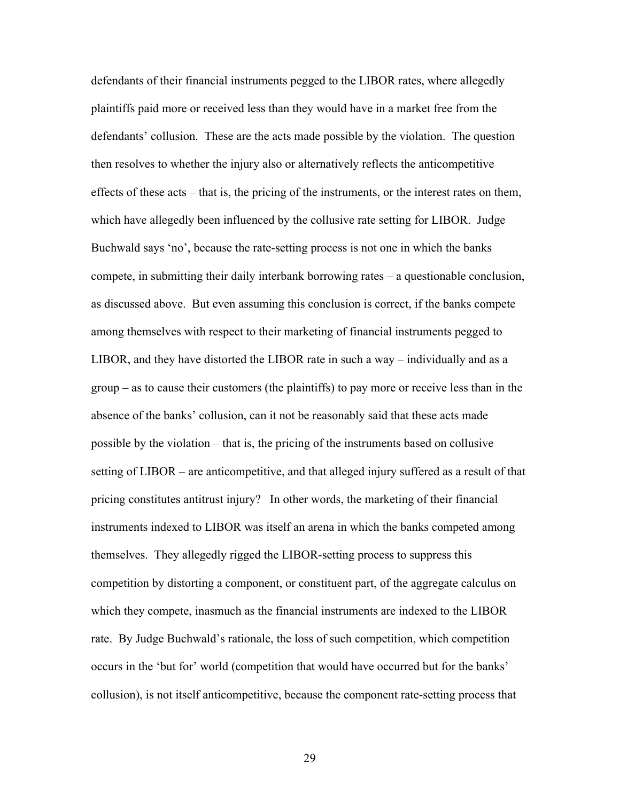defendants of their financial instruments pegged to the LIBOR rates, where allegedly plaintiffs paid more or received less than they would have in a market free from the defendants' collusion. These are the acts made possible by the violation. The question then resolves to whether the injury also or alternatively reflects the anticompetitive effects of these acts – that is, the pricing of the instruments, or the interest rates on them, which have allegedly been influenced by the collusive rate setting for LIBOR. Judge Buchwald says 'no', because the rate-setting process is not one in which the banks compete, in submitting their daily interbank borrowing rates – a questionable conclusion, as discussed above. But even assuming this conclusion is correct, if the banks compete among themselves with respect to their marketing of financial instruments pegged to LIBOR, and they have distorted the LIBOR rate in such a way – individually and as a group – as to cause their customers (the plaintiffs) to pay more or receive less than in the absence of the banks' collusion, can it not be reasonably said that these acts made possible by the violation – that is, the pricing of the instruments based on collusive setting of LIBOR – are anticompetitive, and that alleged injury suffered as a result of that pricing constitutes antitrust injury? In other words, the marketing of their financial instruments indexed to LIBOR was itself an arena in which the banks competed among themselves. They allegedly rigged the LIBOR-setting process to suppress this competition by distorting a component, or constituent part, of the aggregate calculus on which they compete, inasmuch as the financial instruments are indexed to the LIBOR rate. By Judge Buchwald's rationale, the loss of such competition, which competition occurs in the 'but for' world (competition that would have occurred but for the banks' collusion), is not itself anticompetitive, because the component rate-setting process that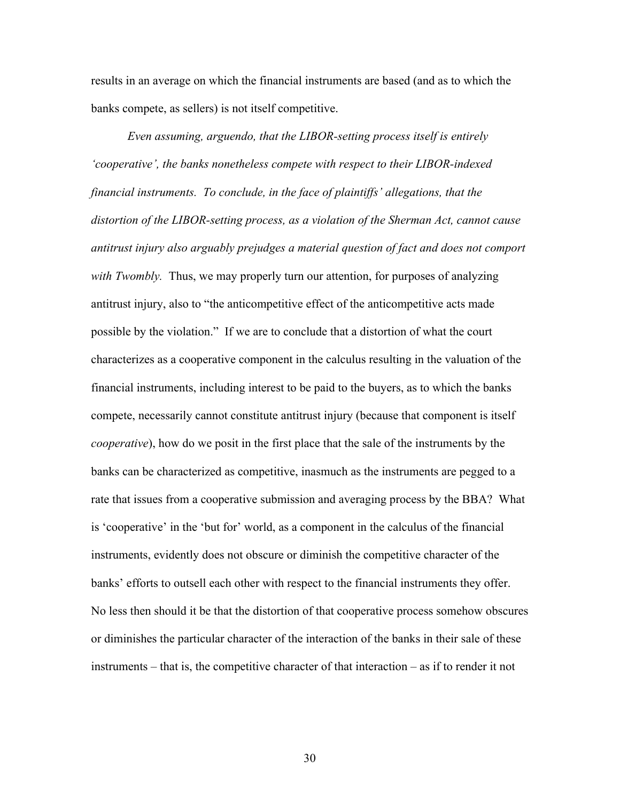results in an average on which the financial instruments are based (and as to which the banks compete, as sellers) is not itself competitive.

*Even assuming, arguendo, that the LIBOR-setting process itself is entirely 'cooperative', the banks nonetheless compete with respect to their LIBOR-indexed financial instruments. To conclude, in the face of plaintiffs' allegations, that the distortion of the LIBOR-setting process, as a violation of the Sherman Act, cannot cause antitrust injury also arguably prejudges a material question of fact and does not comport with Twombly.* Thus, we may properly turn our attention, for purposes of analyzing antitrust injury, also to "the anticompetitive effect of the anticompetitive acts made possible by the violation." If we are to conclude that a distortion of what the court characterizes as a cooperative component in the calculus resulting in the valuation of the financial instruments, including interest to be paid to the buyers, as to which the banks compete, necessarily cannot constitute antitrust injury (because that component is itself *cooperative*), how do we posit in the first place that the sale of the instruments by the banks can be characterized as competitive, inasmuch as the instruments are pegged to a rate that issues from a cooperative submission and averaging process by the BBA? What is 'cooperative' in the 'but for' world, as a component in the calculus of the financial instruments, evidently does not obscure or diminish the competitive character of the banks' efforts to outsell each other with respect to the financial instruments they offer. No less then should it be that the distortion of that cooperative process somehow obscures or diminishes the particular character of the interaction of the banks in their sale of these instruments – that is, the competitive character of that interaction – as if to render it not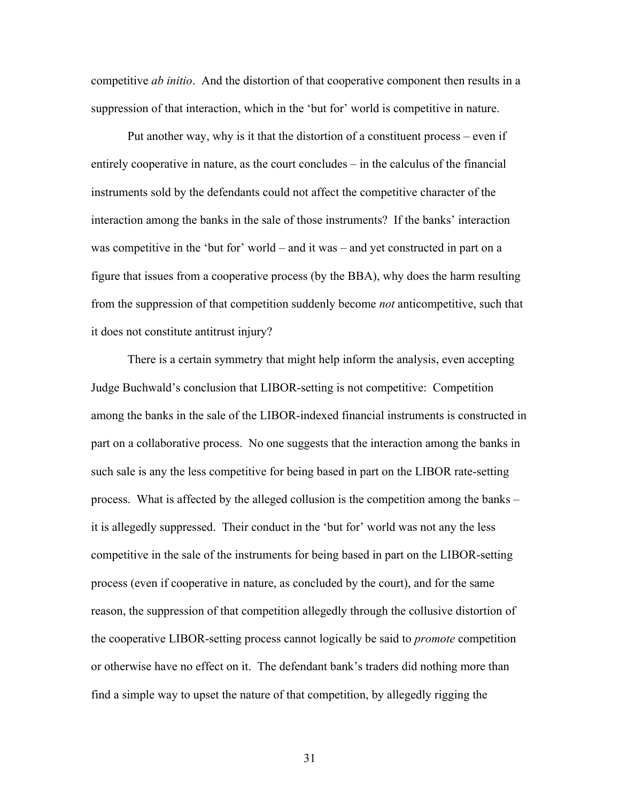competitive *ab initio*. And the distortion of that cooperative component then results in a suppression of that interaction, which in the 'but for' world is competitive in nature.

Put another way, why is it that the distortion of a constituent process – even if entirely cooperative in nature, as the court concludes – in the calculus of the financial instruments sold by the defendants could not affect the competitive character of the interaction among the banks in the sale of those instruments? If the banks' interaction was competitive in the 'but for' world – and it was – and yet constructed in part on a figure that issues from a cooperative process (by the BBA), why does the harm resulting from the suppression of that competition suddenly become *not* anticompetitive, such that it does not constitute antitrust injury?

There is a certain symmetry that might help inform the analysis, even accepting Judge Buchwald's conclusion that LIBOR-setting is not competitive: Competition among the banks in the sale of the LIBOR-indexed financial instruments is constructed in part on a collaborative process. No one suggests that the interaction among the banks in such sale is any the less competitive for being based in part on the LIBOR rate-setting process. What is affected by the alleged collusion is the competition among the banks – it is allegedly suppressed. Their conduct in the 'but for' world was not any the less competitive in the sale of the instruments for being based in part on the LIBOR-setting process (even if cooperative in nature, as concluded by the court), and for the same reason, the suppression of that competition allegedly through the collusive distortion of the cooperative LIBOR-setting process cannot logically be said to *promote* competition or otherwise have no effect on it. The defendant bank's traders did nothing more than find a simple way to upset the nature of that competition, by allegedly rigging the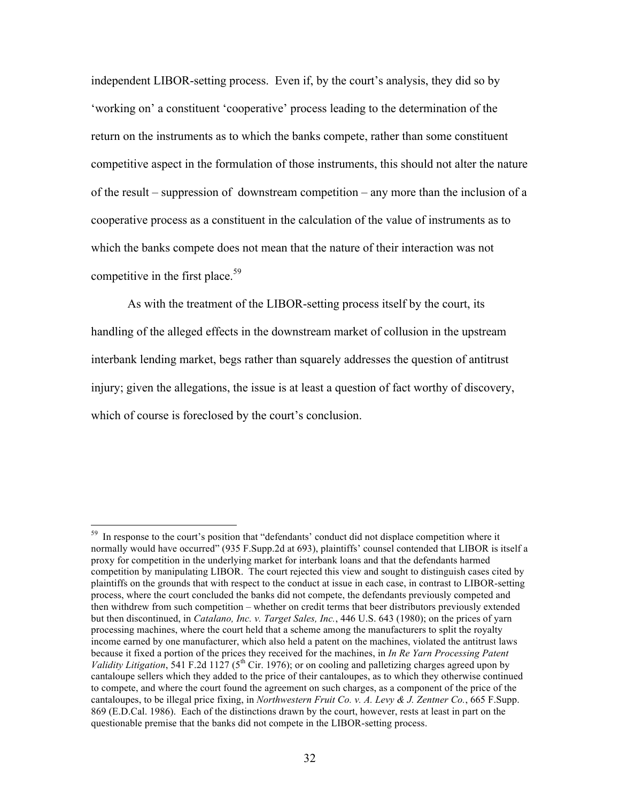independent LIBOR-setting process. Even if, by the court's analysis, they did so by 'working on' a constituent 'cooperative' process leading to the determination of the return on the instruments as to which the banks compete, rather than some constituent competitive aspect in the formulation of those instruments, this should not alter the nature of the result – suppression of downstream competition – any more than the inclusion of a cooperative process as a constituent in the calculation of the value of instruments as to which the banks compete does not mean that the nature of their interaction was not competitive in the first place.<sup>59</sup>

As with the treatment of the LIBOR-setting process itself by the court, its handling of the alleged effects in the downstream market of collusion in the upstream interbank lending market, begs rather than squarely addresses the question of antitrust injury; given the allegations, the issue is at least a question of fact worthy of discovery, which of course is foreclosed by the court's conclusion.

<sup>&</sup>lt;sup>59</sup> In response to the court's position that "defendants' conduct did not displace competition where it normally would have occurred" (935 F.Supp.2d at 693), plaintiffs' counsel contended that LIBOR is itself a proxy for competition in the underlying market for interbank loans and that the defendants harmed competition by manipulating LIBOR. The court rejected this view and sought to distinguish cases cited by plaintiffs on the grounds that with respect to the conduct at issue in each case, in contrast to LIBOR-setting process, where the court concluded the banks did not compete, the defendants previously competed and then withdrew from such competition – whether on credit terms that beer distributors previously extended but then discontinued, in *Catalano, Inc. v. Target Sales, Inc.*, 446 U.S. 643 (1980); on the prices of yarn processing machines, where the court held that a scheme among the manufacturers to split the royalty income earned by one manufacturer, which also held a patent on the machines, violated the antitrust laws because it fixed a portion of the prices they received for the machines, in *In Re Yarn Processing Patent Validity Litigation*, 541 F.2d 1127 ( $5<sup>th</sup>$  Cir. 1976); or on cooling and palletizing charges agreed upon by cantaloupe sellers which they added to the price of their cantaloupes, as to which they otherwise continued to compete, and where the court found the agreement on such charges, as a component of the price of the cantaloupes, to be illegal price fixing, in *Northwestern Fruit Co. v. A. Levy & J. Zentner Co.*, 665 F.Supp. 869 (E.D.Cal. 1986). Each of the distinctions drawn by the court, however, rests at least in part on the questionable premise that the banks did not compete in the LIBOR-setting process.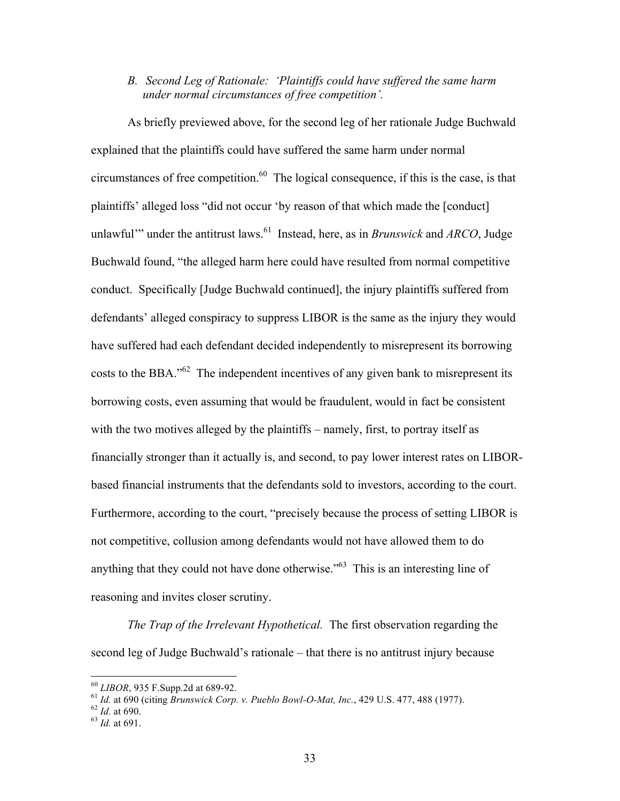# *B. Second Leg of Rationale: 'Plaintiffs could have suffered the same harm under normal circumstances of free competition'.*

As briefly previewed above, for the second leg of her rationale Judge Buchwald explained that the plaintiffs could have suffered the same harm under normal circumstances of free competition.<sup>60</sup> The logical consequence, if this is the case, is that plaintiffs' alleged loss "did not occur 'by reason of that which made the [conduct] unlawful<sup>"</sup> under the antitrust laws.<sup>61</sup> Instead, here, as in *Brunswick* and *ARCO*, Judge Buchwald found, "the alleged harm here could have resulted from normal competitive conduct. Specifically [Judge Buchwald continued], the injury plaintiffs suffered from defendants' alleged conspiracy to suppress LIBOR is the same as the injury they would have suffered had each defendant decided independently to misrepresent its borrowing costs to the BBA."<sup>62</sup> The independent incentives of any given bank to misrepresent its borrowing costs, even assuming that would be fraudulent, would in fact be consistent with the two motives alleged by the plaintiffs – namely, first, to portray itself as financially stronger than it actually is, and second, to pay lower interest rates on LIBORbased financial instruments that the defendants sold to investors, according to the court. Furthermore, according to the court, "precisely because the process of setting LIBOR is not competitive, collusion among defendants would not have allowed them to do anything that they could not have done otherwise."63 This is an interesting line of reasoning and invites closer scrutiny.

*The Trap of the Irrelevant Hypothetical.* The first observation regarding the second leg of Judge Buchwald's rationale – that there is no antitrust injury because

<sup>60</sup> *LIBOR*, 935 F.Supp.2d at 689-92. 61 *Id.* at 690 (citing *Brunswick Corp. v. Pueblo Bowl-O-Mat, Inc.*, 429 U.S. 477, 488 (1977). <sup>62</sup> *Id.* at 690. <sup>63</sup> *Id.* at 691.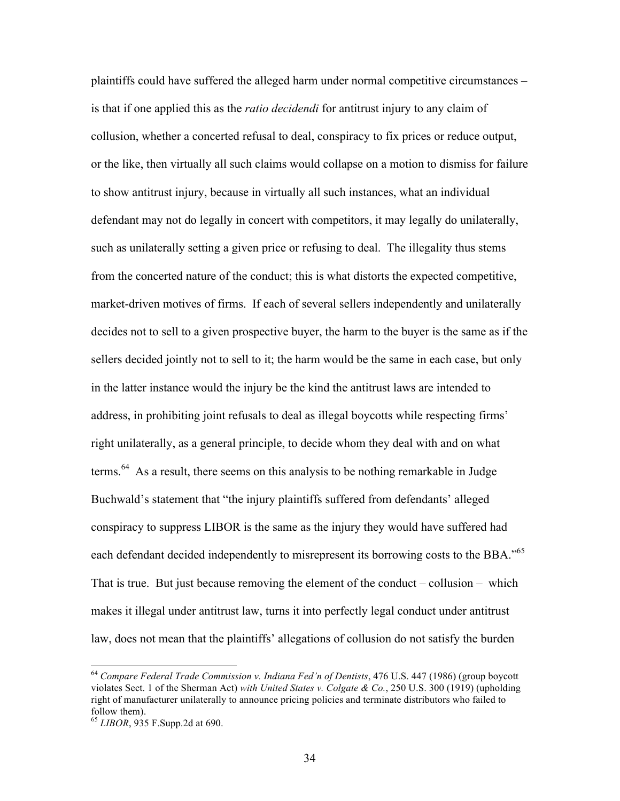plaintiffs could have suffered the alleged harm under normal competitive circumstances – is that if one applied this as the *ratio decidendi* for antitrust injury to any claim of collusion, whether a concerted refusal to deal, conspiracy to fix prices or reduce output, or the like, then virtually all such claims would collapse on a motion to dismiss for failure to show antitrust injury, because in virtually all such instances, what an individual defendant may not do legally in concert with competitors, it may legally do unilaterally, such as unilaterally setting a given price or refusing to deal. The illegality thus stems from the concerted nature of the conduct; this is what distorts the expected competitive, market-driven motives of firms. If each of several sellers independently and unilaterally decides not to sell to a given prospective buyer, the harm to the buyer is the same as if the sellers decided jointly not to sell to it; the harm would be the same in each case, but only in the latter instance would the injury be the kind the antitrust laws are intended to address, in prohibiting joint refusals to deal as illegal boycotts while respecting firms' right unilaterally, as a general principle, to decide whom they deal with and on what terms.<sup>64</sup> As a result, there seems on this analysis to be nothing remarkable in Judge Buchwald's statement that "the injury plaintiffs suffered from defendants' alleged conspiracy to suppress LIBOR is the same as the injury they would have suffered had each defendant decided independently to misrepresent its borrowing costs to the BBA."<sup>65</sup> That is true. But just because removing the element of the conduct – collusion – which makes it illegal under antitrust law, turns it into perfectly legal conduct under antitrust law, does not mean that the plaintiffs' allegations of collusion do not satisfy the burden

 <sup>64</sup> *Compare Federal Trade Commission v. Indiana Fed'n of Dentists*, 476 U.S. 447 (1986) (group boycott violates Sect. 1 of the Sherman Act) *with United States v. Colgate & Co.*, 250 U.S. 300 (1919) (upholding right of manufacturer unilaterally to announce pricing policies and terminate distributors who failed to follow them).

<sup>65</sup> *LIBOR*, 935 F.Supp.2d at 690.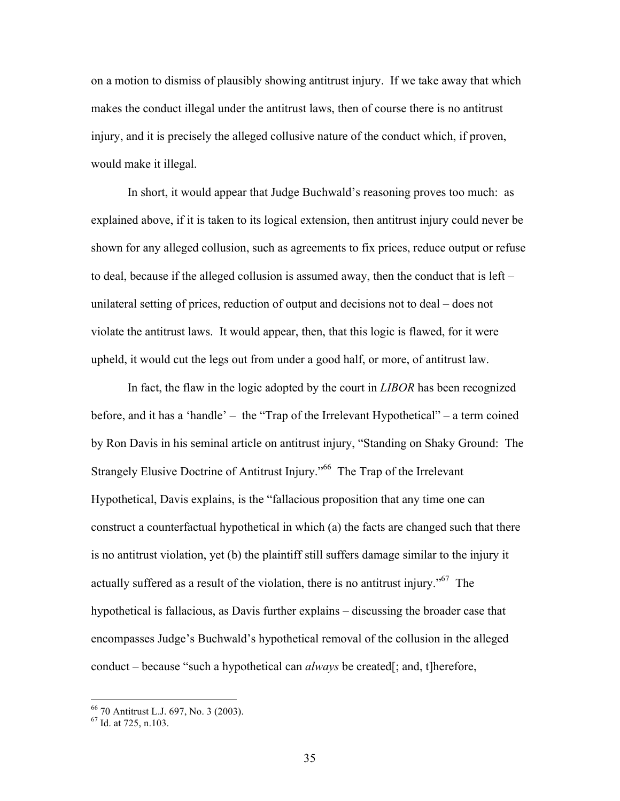on a motion to dismiss of plausibly showing antitrust injury. If we take away that which makes the conduct illegal under the antitrust laws, then of course there is no antitrust injury, and it is precisely the alleged collusive nature of the conduct which, if proven, would make it illegal.

In short, it would appear that Judge Buchwald's reasoning proves too much: as explained above, if it is taken to its logical extension, then antitrust injury could never be shown for any alleged collusion, such as agreements to fix prices, reduce output or refuse to deal, because if the alleged collusion is assumed away, then the conduct that is left – unilateral setting of prices, reduction of output and decisions not to deal – does not violate the antitrust laws. It would appear, then, that this logic is flawed, for it were upheld, it would cut the legs out from under a good half, or more, of antitrust law.

In fact, the flaw in the logic adopted by the court in *LIBOR* has been recognized before, and it has a 'handle' – the "Trap of the Irrelevant Hypothetical" – a term coined by Ron Davis in his seminal article on antitrust injury, "Standing on Shaky Ground: The Strangely Elusive Doctrine of Antitrust Injury."66 The Trap of the Irrelevant Hypothetical, Davis explains, is the "fallacious proposition that any time one can construct a counterfactual hypothetical in which (a) the facts are changed such that there is no antitrust violation, yet (b) the plaintiff still suffers damage similar to the injury it actually suffered as a result of the violation, there is no antitrust injury."67 The hypothetical is fallacious, as Davis further explains – discussing the broader case that encompasses Judge's Buchwald's hypothetical removal of the collusion in the alleged conduct – because "such a hypothetical can *always* be created[; and, t]herefore,

<sup>&</sup>lt;sup>66</sup> 70 Antitrust L.J. 697, No. 3 (2003).<br><sup>67</sup> Id. at 725, n.103.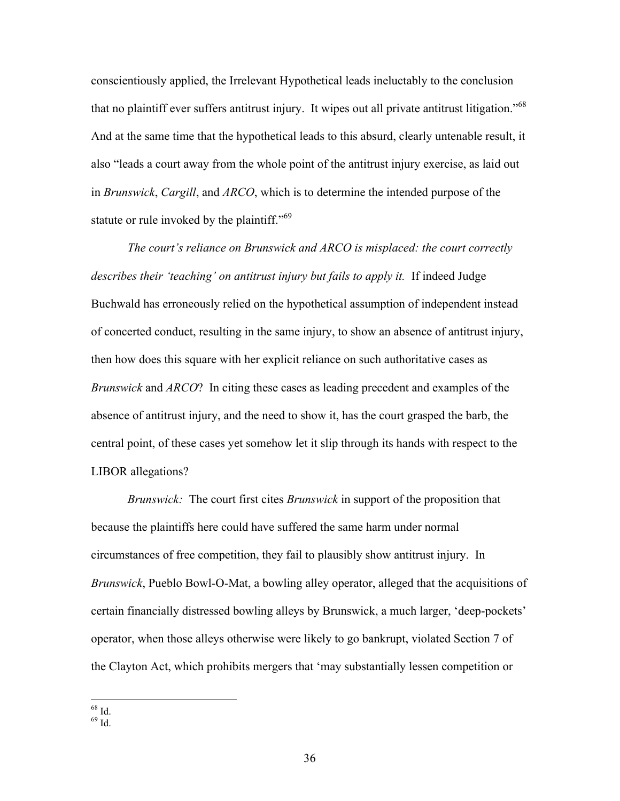conscientiously applied, the Irrelevant Hypothetical leads ineluctably to the conclusion that no plaintiff ever suffers antitrust injury. It wipes out all private antitrust litigation."68 And at the same time that the hypothetical leads to this absurd, clearly untenable result, it also "leads a court away from the whole point of the antitrust injury exercise, as laid out in *Brunswick*, *Cargill*, and *ARCO*, which is to determine the intended purpose of the statute or rule invoked by the plaintiff."<sup>69</sup>

*The court's reliance on Brunswick and ARCO is misplaced: the court correctly describes their 'teaching' on antitrust injury but fails to apply it.* If indeed Judge Buchwald has erroneously relied on the hypothetical assumption of independent instead of concerted conduct, resulting in the same injury, to show an absence of antitrust injury, then how does this square with her explicit reliance on such authoritative cases as *Brunswick* and *ARCO*? In citing these cases as leading precedent and examples of the absence of antitrust injury, and the need to show it, has the court grasped the barb, the central point, of these cases yet somehow let it slip through its hands with respect to the LIBOR allegations?

*Brunswick:* The court first cites *Brunswick* in support of the proposition that because the plaintiffs here could have suffered the same harm under normal circumstances of free competition, they fail to plausibly show antitrust injury. In *Brunswick*, Pueblo Bowl-O-Mat, a bowling alley operator, alleged that the acquisitions of certain financially distressed bowling alleys by Brunswick, a much larger, 'deep-pockets' operator, when those alleys otherwise were likely to go bankrupt, violated Section 7 of the Clayton Act, which prohibits mergers that 'may substantially lessen competition or

 $\frac{68}{69}$  Id.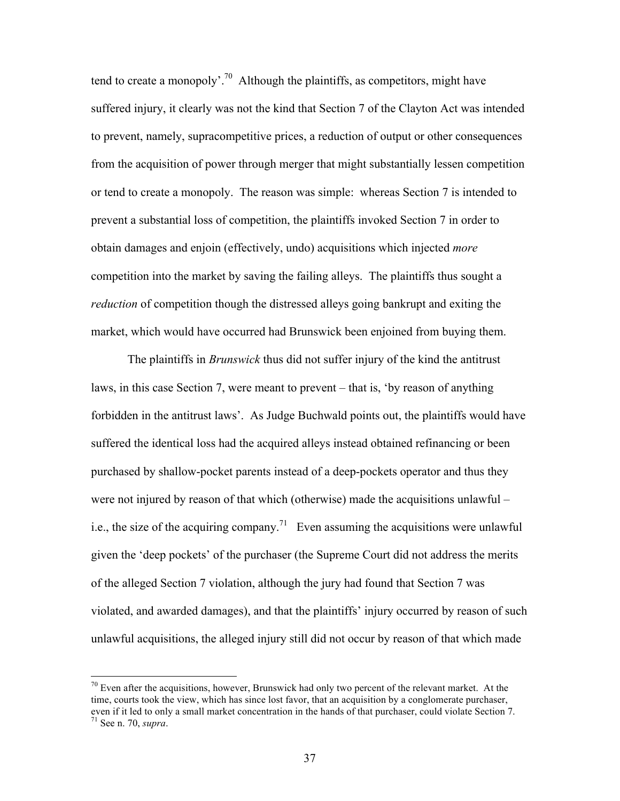tend to create a monopoly<sup>'. 70</sup> Although the plaintiffs, as competitors, might have suffered injury, it clearly was not the kind that Section 7 of the Clayton Act was intended to prevent, namely, supracompetitive prices, a reduction of output or other consequences from the acquisition of power through merger that might substantially lessen competition or tend to create a monopoly. The reason was simple: whereas Section 7 is intended to prevent a substantial loss of competition, the plaintiffs invoked Section 7 in order to obtain damages and enjoin (effectively, undo) acquisitions which injected *more* competition into the market by saving the failing alleys. The plaintiffs thus sought a *reduction* of competition though the distressed alleys going bankrupt and exiting the market, which would have occurred had Brunswick been enjoined from buying them.

The plaintiffs in *Brunswick* thus did not suffer injury of the kind the antitrust laws, in this case Section 7, were meant to prevent – that is, 'by reason of anything forbidden in the antitrust laws'. As Judge Buchwald points out, the plaintiffs would have suffered the identical loss had the acquired alleys instead obtained refinancing or been purchased by shallow-pocket parents instead of a deep-pockets operator and thus they were not injured by reason of that which (otherwise) made the acquisitions unlawful – i.e., the size of the acquiring company.<sup>71</sup> Even assuming the acquisitions were unlawful given the 'deep pockets' of the purchaser (the Supreme Court did not address the merits of the alleged Section 7 violation, although the jury had found that Section 7 was violated, and awarded damages), and that the plaintiffs' injury occurred by reason of such unlawful acquisitions, the alleged injury still did not occur by reason of that which made

 $70$  Even after the acquisitions, however, Brunswick had only two percent of the relevant market. At the time, courts took the view, which has since lost favor, that an acquisition by a conglomerate purchaser, even if it led to only a small market concentration in the hands of that purchaser, could violate Section 7. <sup>71</sup> See n. 70, *supra*.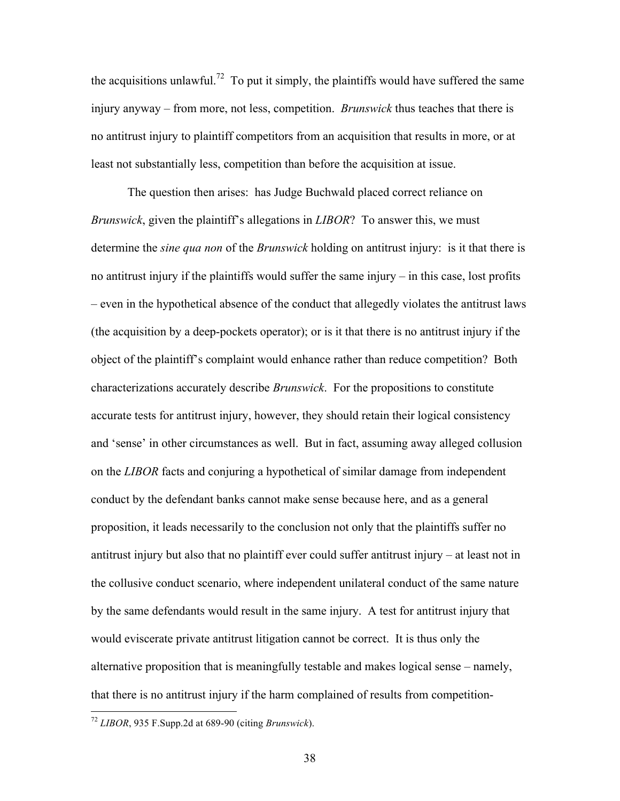the acquisitions unlawful.<sup>72</sup> To put it simply, the plaintiffs would have suffered the same injury anyway – from more, not less, competition. *Brunswick* thus teaches that there is no antitrust injury to plaintiff competitors from an acquisition that results in more, or at least not substantially less, competition than before the acquisition at issue.

The question then arises: has Judge Buchwald placed correct reliance on *Brunswick*, given the plaintiff's allegations in *LIBOR*? To answer this, we must determine the *sine qua non* of the *Brunswick* holding on antitrust injury: is it that there is no antitrust injury if the plaintiffs would suffer the same injury – in this case, lost profits – even in the hypothetical absence of the conduct that allegedly violates the antitrust laws (the acquisition by a deep-pockets operator); or is it that there is no antitrust injury if the object of the plaintiff's complaint would enhance rather than reduce competition? Both characterizations accurately describe *Brunswick*. For the propositions to constitute accurate tests for antitrust injury, however, they should retain their logical consistency and 'sense' in other circumstances as well. But in fact, assuming away alleged collusion on the *LIBOR* facts and conjuring a hypothetical of similar damage from independent conduct by the defendant banks cannot make sense because here, and as a general proposition, it leads necessarily to the conclusion not only that the plaintiffs suffer no antitrust injury but also that no plaintiff ever could suffer antitrust injury – at least not in the collusive conduct scenario, where independent unilateral conduct of the same nature by the same defendants would result in the same injury. A test for antitrust injury that would eviscerate private antitrust litigation cannot be correct. It is thus only the alternative proposition that is meaningfully testable and makes logical sense – namely, that there is no antitrust injury if the harm complained of results from competition-

 <sup>72</sup> *LIBOR*, 935 F.Supp.2d at 689-90 (citing *Brunswick*).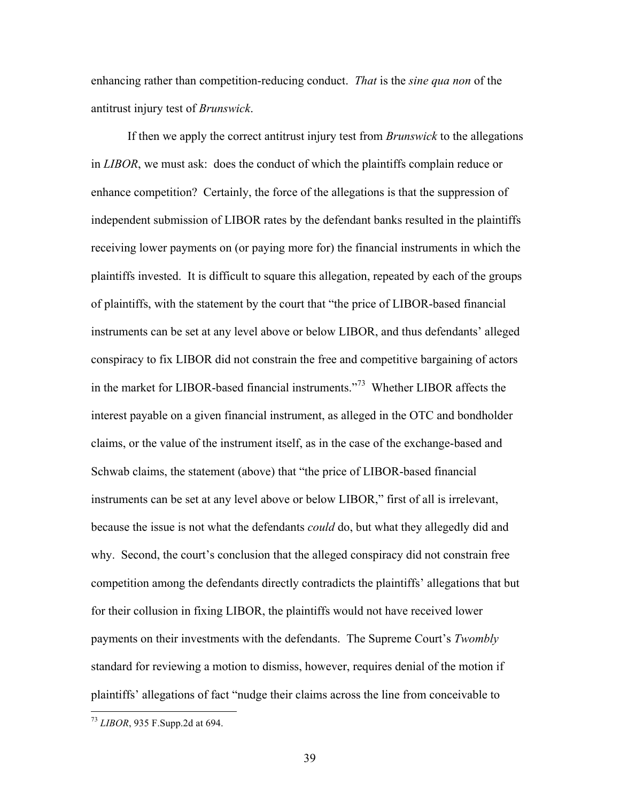enhancing rather than competition-reducing conduct. *That* is the *sine qua non* of the antitrust injury test of *Brunswick*.

If then we apply the correct antitrust injury test from *Brunswick* to the allegations in *LIBOR*, we must ask: does the conduct of which the plaintiffs complain reduce or enhance competition? Certainly, the force of the allegations is that the suppression of independent submission of LIBOR rates by the defendant banks resulted in the plaintiffs receiving lower payments on (or paying more for) the financial instruments in which the plaintiffs invested. It is difficult to square this allegation, repeated by each of the groups of plaintiffs, with the statement by the court that "the price of LIBOR-based financial instruments can be set at any level above or below LIBOR, and thus defendants' alleged conspiracy to fix LIBOR did not constrain the free and competitive bargaining of actors in the market for LIBOR-based financial instruments."73 Whether LIBOR affects the interest payable on a given financial instrument, as alleged in the OTC and bondholder claims, or the value of the instrument itself, as in the case of the exchange-based and Schwab claims, the statement (above) that "the price of LIBOR-based financial instruments can be set at any level above or below LIBOR," first of all is irrelevant, because the issue is not what the defendants *could* do, but what they allegedly did and why. Second, the court's conclusion that the alleged conspiracy did not constrain free competition among the defendants directly contradicts the plaintiffs' allegations that but for their collusion in fixing LIBOR, the plaintiffs would not have received lower payments on their investments with the defendants. The Supreme Court's *Twombly* standard for reviewing a motion to dismiss, however, requires denial of the motion if plaintiffs' allegations of fact "nudge their claims across the line from conceivable to

 <sup>73</sup> *LIBOR*, 935 F.Supp.2d at 694.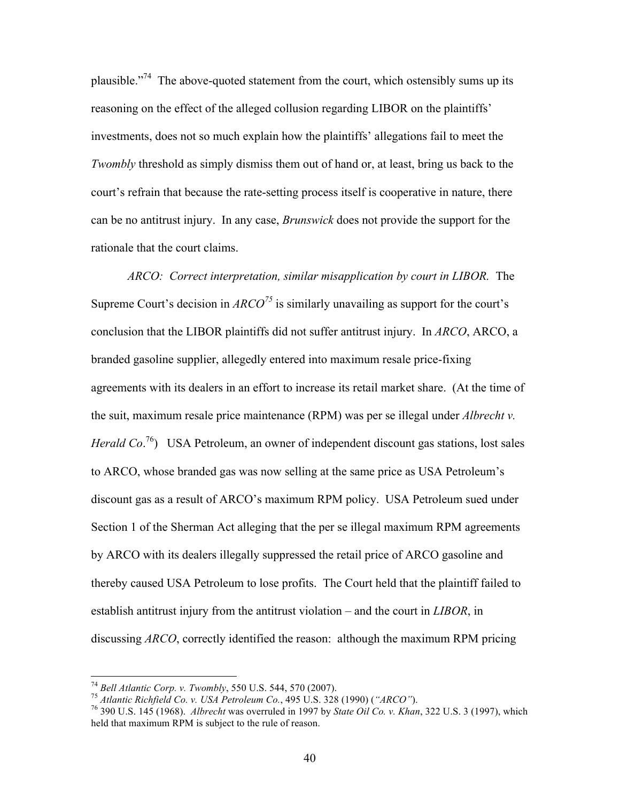plausible.<sup> $274$ </sup> The above-quoted statement from the court, which ostensibly sums up its reasoning on the effect of the alleged collusion regarding LIBOR on the plaintiffs' investments, does not so much explain how the plaintiffs' allegations fail to meet the *Twombly* threshold as simply dismiss them out of hand or, at least, bring us back to the court's refrain that because the rate-setting process itself is cooperative in nature, there can be no antitrust injury. In any case, *Brunswick* does not provide the support for the rationale that the court claims.

*ARCO: Correct interpretation, similar misapplication by court in LIBOR.* The Supreme Court's decision in *ARCO<sup>75</sup>* is similarly unavailing as support for the court's conclusion that the LIBOR plaintiffs did not suffer antitrust injury. In *ARCO*, ARCO, a branded gasoline supplier, allegedly entered into maximum resale price-fixing agreements with its dealers in an effort to increase its retail market share. (At the time of the suit, maximum resale price maintenance (RPM) was per se illegal under *Albrecht v. Herald Co.*<sup>76</sup>) USA Petroleum, an owner of independent discount gas stations, lost sales to ARCO, whose branded gas was now selling at the same price as USA Petroleum's discount gas as a result of ARCO's maximum RPM policy. USA Petroleum sued under Section 1 of the Sherman Act alleging that the per se illegal maximum RPM agreements by ARCO with its dealers illegally suppressed the retail price of ARCO gasoline and thereby caused USA Petroleum to lose profits. The Court held that the plaintiff failed to establish antitrust injury from the antitrust violation – and the court in *LIBOR*, in discussing *ARCO*, correctly identified the reason: although the maximum RPM pricing

<sup>&</sup>lt;sup>74</sup> Bell Atlantic Corp. v. Twombly, 550 U.S. 544, 570 (2007).<br><sup>75</sup> Atlantic Richfield Co. v. USA Petroleum Co., 495 U.S. 328 (1990) (*"ARCO"*).<br><sup>76</sup> 390 U.S. 145 (1968). Albrecht was overruled in 1997 by *State Oil Co. v* held that maximum RPM is subject to the rule of reason.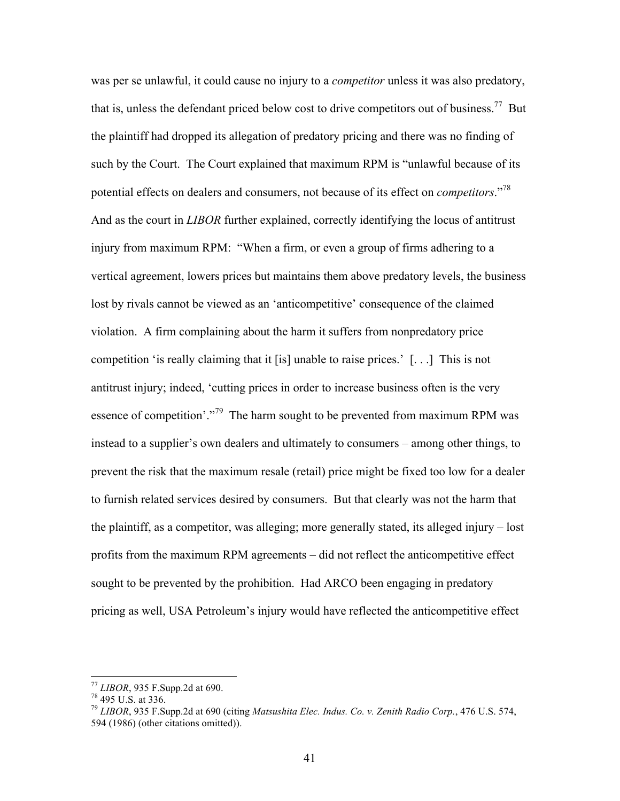was per se unlawful, it could cause no injury to a *competitor* unless it was also predatory, that is, unless the defendant priced below cost to drive competitors out of business.<sup>77</sup> But the plaintiff had dropped its allegation of predatory pricing and there was no finding of such by the Court. The Court explained that maximum RPM is "unlawful because of its potential effects on dealers and consumers, not because of its effect on *competitors*."78 And as the court in *LIBOR* further explained, correctly identifying the locus of antitrust injury from maximum RPM: "When a firm, or even a group of firms adhering to a vertical agreement, lowers prices but maintains them above predatory levels, the business lost by rivals cannot be viewed as an 'anticompetitive' consequence of the claimed violation. A firm complaining about the harm it suffers from nonpredatory price competition 'is really claiming that it [is] unable to raise prices.' [. . .] This is not antitrust injury; indeed, 'cutting prices in order to increase business often is the very essence of competition'."<sup>79</sup> The harm sought to be prevented from maximum RPM was instead to a supplier's own dealers and ultimately to consumers – among other things, to prevent the risk that the maximum resale (retail) price might be fixed too low for a dealer to furnish related services desired by consumers. But that clearly was not the harm that the plaintiff, as a competitor, was alleging; more generally stated, its alleged injury – lost profits from the maximum RPM agreements – did not reflect the anticompetitive effect sought to be prevented by the prohibition. Had ARCO been engaging in predatory pricing as well, USA Petroleum's injury would have reflected the anticompetitive effect

<sup>77</sup> *LIBOR*, 935 F.Supp.2d at 690. <sup>78</sup> 495 U.S. at 336. <sup>79</sup> *LIBOR*, 935 F.Supp.2d at 690 (citing *Matsushita Elec. Indus. Co. v. Zenith Radio Corp.*, 476 U.S. 574, 594 (1986) (other citations omitted)).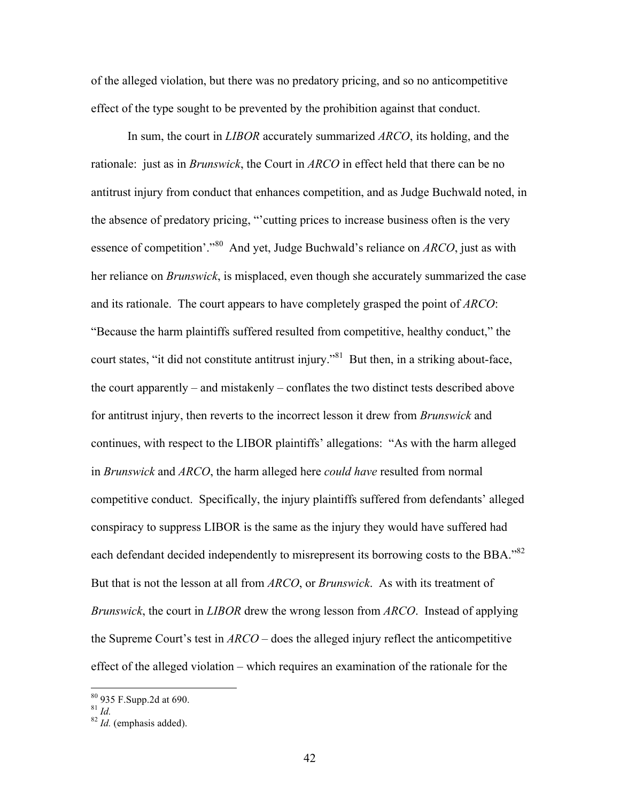of the alleged violation, but there was no predatory pricing, and so no anticompetitive effect of the type sought to be prevented by the prohibition against that conduct.

In sum, the court in *LIBOR* accurately summarized *ARCO*, its holding, and the rationale: just as in *Brunswick*, the Court in *ARCO* in effect held that there can be no antitrust injury from conduct that enhances competition, and as Judge Buchwald noted, in the absence of predatory pricing, "'cutting prices to increase business often is the very essence of competition'."80 And yet, Judge Buchwald's reliance on *ARCO*, just as with her reliance on *Brunswick*, is misplaced, even though she accurately summarized the case and its rationale. The court appears to have completely grasped the point of *ARCO*: "Because the harm plaintiffs suffered resulted from competitive, healthy conduct," the court states, "it did not constitute antitrust injury."<sup>81</sup> But then, in a striking about-face, the court apparently – and mistakenly – conflates the two distinct tests described above for antitrust injury, then reverts to the incorrect lesson it drew from *Brunswick* and continues, with respect to the LIBOR plaintiffs' allegations: "As with the harm alleged in *Brunswick* and *ARCO*, the harm alleged here *could have* resulted from normal competitive conduct. Specifically, the injury plaintiffs suffered from defendants' alleged conspiracy to suppress LIBOR is the same as the injury they would have suffered had each defendant decided independently to misrepresent its borrowing costs to the BBA."<sup>82</sup> But that is not the lesson at all from *ARCO*, or *Brunswick*. As with its treatment of *Brunswick*, the court in *LIBOR* drew the wrong lesson from *ARCO*. Instead of applying the Supreme Court's test in *ARCO* – does the alleged injury reflect the anticompetitive effect of the alleged violation – which requires an examination of the rationale for the

<sup>80</sup> 935 F.Supp.2d at 690. <sup>81</sup> *Id.* <sup>82</sup> *Id.* (emphasis added).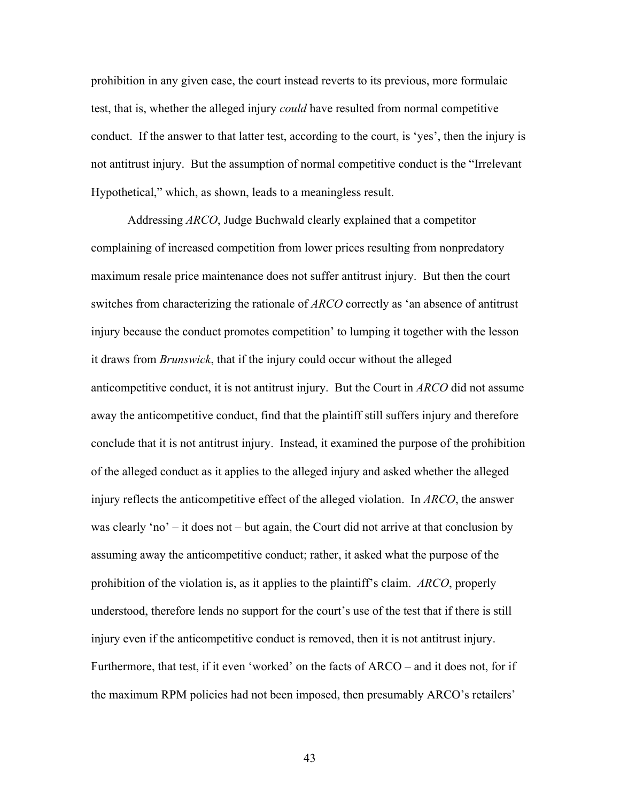prohibition in any given case, the court instead reverts to its previous, more formulaic test, that is, whether the alleged injury *could* have resulted from normal competitive conduct. If the answer to that latter test, according to the court, is 'yes', then the injury is not antitrust injury. But the assumption of normal competitive conduct is the "Irrelevant Hypothetical," which, as shown, leads to a meaningless result.

Addressing *ARCO*, Judge Buchwald clearly explained that a competitor complaining of increased competition from lower prices resulting from nonpredatory maximum resale price maintenance does not suffer antitrust injury. But then the court switches from characterizing the rationale of *ARCO* correctly as 'an absence of antitrust injury because the conduct promotes competition' to lumping it together with the lesson it draws from *Brunswick*, that if the injury could occur without the alleged anticompetitive conduct, it is not antitrust injury. But the Court in *ARCO* did not assume away the anticompetitive conduct, find that the plaintiff still suffers injury and therefore conclude that it is not antitrust injury. Instead, it examined the purpose of the prohibition of the alleged conduct as it applies to the alleged injury and asked whether the alleged injury reflects the anticompetitive effect of the alleged violation. In *ARCO*, the answer was clearly 'no' – it does not – but again, the Court did not arrive at that conclusion by assuming away the anticompetitive conduct; rather, it asked what the purpose of the prohibition of the violation is, as it applies to the plaintiff's claim. *ARCO*, properly understood, therefore lends no support for the court's use of the test that if there is still injury even if the anticompetitive conduct is removed, then it is not antitrust injury. Furthermore, that test, if it even 'worked' on the facts of ARCO – and it does not, for if the maximum RPM policies had not been imposed, then presumably ARCO's retailers'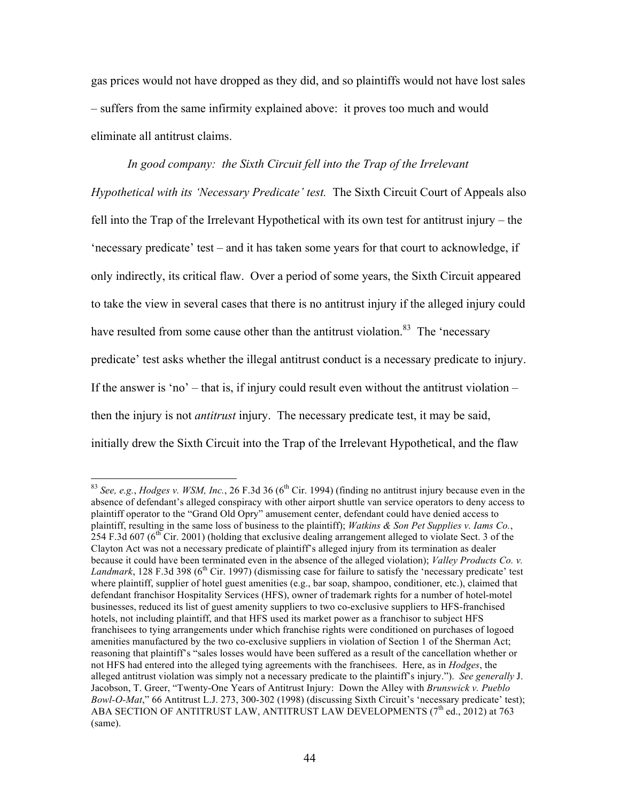gas prices would not have dropped as they did, and so plaintiffs would not have lost sales – suffers from the same infirmity explained above: it proves too much and would eliminate all antitrust claims.

*In good company: the Sixth Circuit fell into the Trap of the Irrelevant Hypothetical with its 'Necessary Predicate' test.* The Sixth Circuit Court of Appeals also fell into the Trap of the Irrelevant Hypothetical with its own test for antitrust injury – the 'necessary predicate' test – and it has taken some years for that court to acknowledge, if only indirectly, its critical flaw. Over a period of some years, the Sixth Circuit appeared to take the view in several cases that there is no antitrust injury if the alleged injury could have resulted from some cause other than the antitrust violation.<sup>83</sup> The 'necessary predicate' test asks whether the illegal antitrust conduct is a necessary predicate to injury. If the answer is 'no' – that is, if injury could result even without the antitrust violation – then the injury is not *antitrust* injury. The necessary predicate test, it may be said, initially drew the Sixth Circuit into the Trap of the Irrelevant Hypothetical, and the flaw

 $83$  *See, e.g., Hodges v. WSM, Inc.,* 26 F.3d 36 ( $6<sup>th</sup>$  Cir. 1994) (finding no antitrust injury because even in the absence of defendant's alleged conspiracy with other airport shuttle van service operators to deny access to plaintiff operator to the "Grand Old Opry" amusement center, defendant could have denied access to plaintiff, resulting in the same loss of business to the plaintiff); *Watkins & Son Pet Supplies v. Iams Co.*, 254 F.3d 607 ( $6<sup>th</sup>$  Cir. 2001) (holding that exclusive dealing arrangement alleged to violate Sect. 3 of the Clayton Act was not a necessary predicate of plaintiff's alleged injury from its termination as dealer because it could have been terminated even in the absence of the alleged violation); *Valley Products Co. v. Landmark*, 128 F.3d 398 ( $6<sup>th</sup>$  Cir. 1997) (dismissing case for failure to satisfy the 'necessary predicate' test where plaintiff, supplier of hotel guest amenities (e.g., bar soap, shampoo, conditioner, etc.), claimed that defendant franchisor Hospitality Services (HFS), owner of trademark rights for a number of hotel-motel businesses, reduced its list of guest amenity suppliers to two co-exclusive suppliers to HFS-franchised hotels, not including plaintiff, and that HFS used its market power as a franchisor to subject HFS franchisees to tying arrangements under which franchise rights were conditioned on purchases of logoed amenities manufactured by the two co-exclusive suppliers in violation of Section 1 of the Sherman Act; reasoning that plaintiff's "sales losses would have been suffered as a result of the cancellation whether or not HFS had entered into the alleged tying agreements with the franchisees. Here, as in *Hodges*, the alleged antitrust violation was simply not a necessary predicate to the plaintiff's injury."). *See generally* J. Jacobson, T. Greer, "Twenty-One Years of Antitrust Injury: Down the Alley with *Brunswick v. Pueblo Bowl-O-Mat*," 66 Antitrust L.J. 273, 300-302 (1998) (discussing Sixth Circuit's 'necessary predicate' test); ABA SECTION OF ANTITRUST LAW, ANTITRUST LAW DEVELOPMENTS (7<sup>th</sup> ed., 2012) at 763 (same).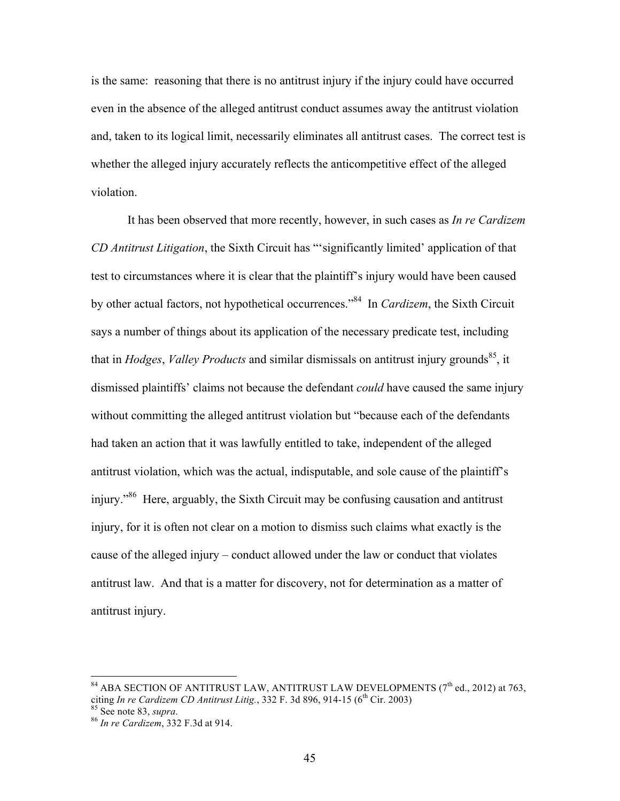is the same: reasoning that there is no antitrust injury if the injury could have occurred even in the absence of the alleged antitrust conduct assumes away the antitrust violation and, taken to its logical limit, necessarily eliminates all antitrust cases. The correct test is whether the alleged injury accurately reflects the anticompetitive effect of the alleged violation.

It has been observed that more recently, however, in such cases as *In re Cardizem CD Antitrust Litigation*, the Sixth Circuit has "'significantly limited' application of that test to circumstances where it is clear that the plaintiff's injury would have been caused by other actual factors, not hypothetical occurrences."84 In *Cardizem*, the Sixth Circuit says a number of things about its application of the necessary predicate test, including that in *Hodges*, *Valley Products* and similar dismissals on antitrust injury grounds<sup>85</sup>, it dismissed plaintiffs' claims not because the defendant *could* have caused the same injury without committing the alleged antitrust violation but "because each of the defendants had taken an action that it was lawfully entitled to take, independent of the alleged antitrust violation, which was the actual, indisputable, and sole cause of the plaintiff's injury."86 Here, arguably, the Sixth Circuit may be confusing causation and antitrust injury, for it is often not clear on a motion to dismiss such claims what exactly is the cause of the alleged injury – conduct allowed under the law or conduct that violates antitrust law. And that is a matter for discovery, not for determination as a matter of antitrust injury.

 $84$  ABA SECTION OF ANTITRUST LAW, ANTITRUST LAW DEVELOPMENTS ( $7<sup>th</sup>$  ed., 2012) at 763, citing *In re Cardizem CD Antitrust Litig.*, 332 F. 3d 896, 914-15 (6<sup>th</sup> Cir. 2003)<sup>85</sup> See note 83, *supra*.<br><sup>86</sup> *In re Cardizem*, 332 F.3d at 914.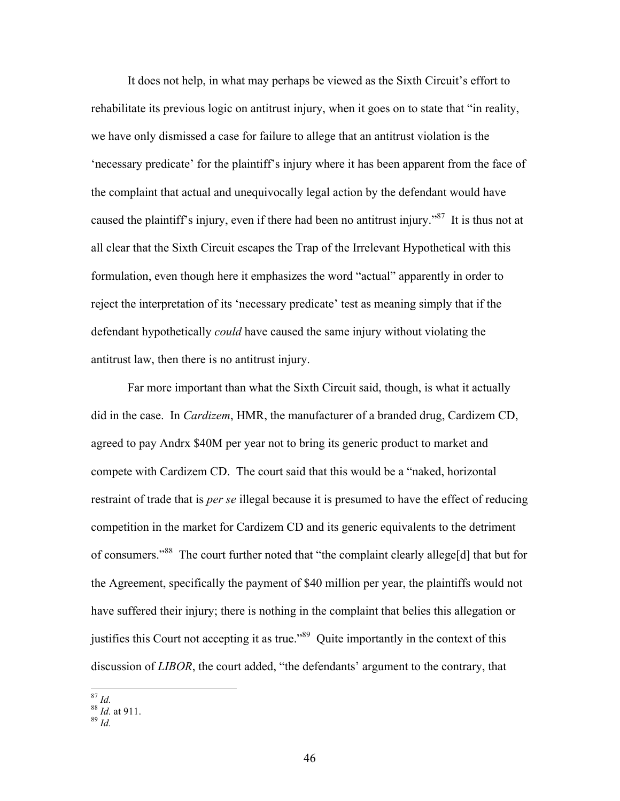It does not help, in what may perhaps be viewed as the Sixth Circuit's effort to rehabilitate its previous logic on antitrust injury, when it goes on to state that "in reality, we have only dismissed a case for failure to allege that an antitrust violation is the 'necessary predicate' for the plaintiff's injury where it has been apparent from the face of the complaint that actual and unequivocally legal action by the defendant would have caused the plaintiff's injury, even if there had been no antitrust injury."<sup>87</sup> It is thus not at all clear that the Sixth Circuit escapes the Trap of the Irrelevant Hypothetical with this formulation, even though here it emphasizes the word "actual" apparently in order to reject the interpretation of its 'necessary predicate' test as meaning simply that if the defendant hypothetically *could* have caused the same injury without violating the antitrust law, then there is no antitrust injury.

Far more important than what the Sixth Circuit said, though, is what it actually did in the case. In *Cardizem*, HMR, the manufacturer of a branded drug, Cardizem CD, agreed to pay Andrx \$40M per year not to bring its generic product to market and compete with Cardizem CD. The court said that this would be a "naked, horizontal restraint of trade that is *per se* illegal because it is presumed to have the effect of reducing competition in the market for Cardizem CD and its generic equivalents to the detriment of consumers."<sup>88</sup> The court further noted that "the complaint clearly allege[d] that but for the Agreement, specifically the payment of \$40 million per year, the plaintiffs would not have suffered their injury; there is nothing in the complaint that belies this allegation or justifies this Court not accepting it as true."<sup>89</sup> Quite importantly in the context of this discussion of *LIBOR*, the court added, "the defendants' argument to the contrary, that

<sup>87</sup> *Id.* <sup>88</sup> *Id.* at 911. <sup>89</sup> *Id.*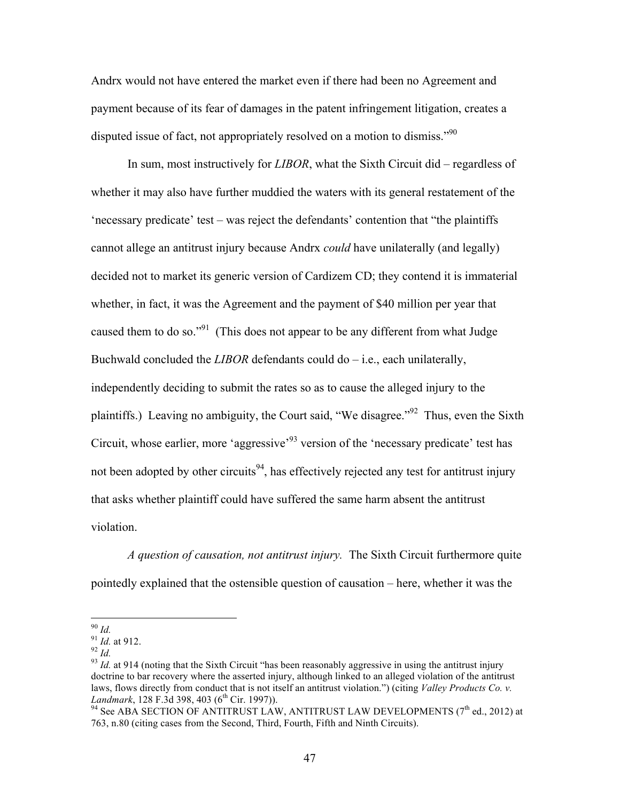Andrx would not have entered the market even if there had been no Agreement and payment because of its fear of damages in the patent infringement litigation, creates a disputed issue of fact, not appropriately resolved on a motion to dismiss."<sup>90</sup>

In sum, most instructively for *LIBOR*, what the Sixth Circuit did – regardless of whether it may also have further muddied the waters with its general restatement of the 'necessary predicate' test – was reject the defendants' contention that "the plaintiffs cannot allege an antitrust injury because Andrx *could* have unilaterally (and legally) decided not to market its generic version of Cardizem CD; they contend it is immaterial whether, in fact, it was the Agreement and the payment of \$40 million per year that caused them to do so."<sup>91</sup> (This does not appear to be any different from what Judge Buchwald concluded the *LIBOR* defendants could do – i.e., each unilaterally, independently deciding to submit the rates so as to cause the alleged injury to the plaintiffs.) Leaving no ambiguity, the Court said, "We disagree."<sup>92</sup> Thus, even the Sixth Circuit, whose earlier, more 'aggressive'<sup>93</sup> version of the 'necessary predicate' test has not been adopted by other circuits<sup>94</sup>, has effectively rejected any test for antitrust injury that asks whether plaintiff could have suffered the same harm absent the antitrust violation.

*A question of causation, not antitrust injury.* The Sixth Circuit furthermore quite pointedly explained that the ostensible question of causation – here, whether it was the

<sup>&</sup>lt;sup>90</sup> *Id.*<br><sup>91</sup> *Id.* at 912.<br><sup>92</sup> *Id.* at 914 (noting that the Sixth Circuit "has been reasonably aggressive in using the antitrust injury doctrine to bar recovery where the asserted injury, although linked to an alleged violation of the antitrust laws, flows directly from conduct that is not itself an antitrust violation.") (citing *Valley Products Co. v. Landmark*, 128 F.3d 398, 403 (6<sup>th</sup> Cir. 1997)).

<sup>&</sup>lt;sup>94</sup> See ABA SECTION OF ANTITRUST LAW, ANTITRUST LAW DEVELOPMENTS (7<sup>th</sup> ed., 2012) at 763, n.80 (citing cases from the Second, Third, Fourth, Fifth and Ninth Circuits).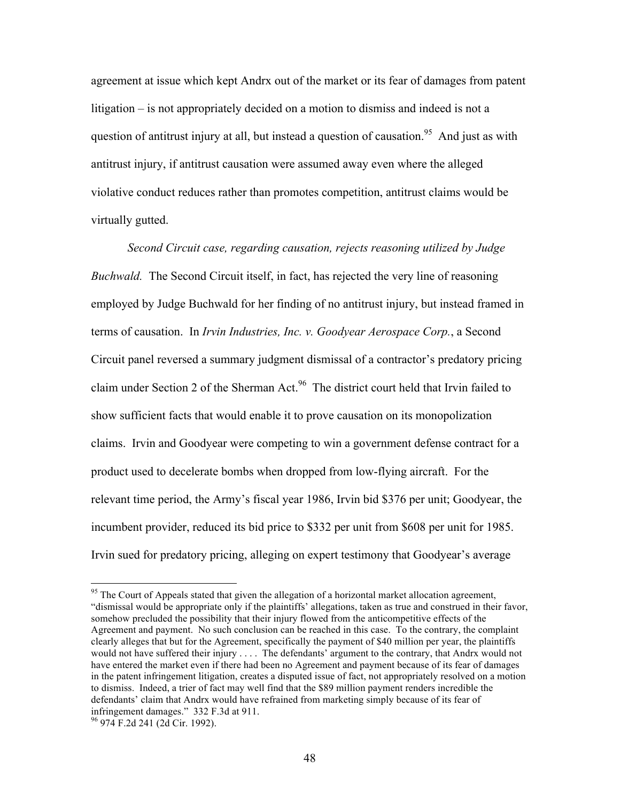agreement at issue which kept Andrx out of the market or its fear of damages from patent litigation – is not appropriately decided on a motion to dismiss and indeed is not a question of antitrust injury at all, but instead a question of causation.<sup>95</sup> And just as with antitrust injury, if antitrust causation were assumed away even where the alleged violative conduct reduces rather than promotes competition, antitrust claims would be virtually gutted.

*Second Circuit case, regarding causation, rejects reasoning utilized by Judge Buchwald.* The Second Circuit itself, in fact, has rejected the very line of reasoning employed by Judge Buchwald for her finding of no antitrust injury, but instead framed in terms of causation. In *Irvin Industries, Inc. v. Goodyear Aerospace Corp.*, a Second Circuit panel reversed a summary judgment dismissal of a contractor's predatory pricing claim under Section 2 of the Sherman Act.<sup>96</sup> The district court held that Irvin failed to show sufficient facts that would enable it to prove causation on its monopolization claims. Irvin and Goodyear were competing to win a government defense contract for a product used to decelerate bombs when dropped from low-flying aircraft. For the relevant time period, the Army's fiscal year 1986, Irvin bid \$376 per unit; Goodyear, the incumbent provider, reduced its bid price to \$332 per unit from \$608 per unit for 1985. Irvin sued for predatory pricing, alleging on expert testimony that Goodyear's average

 $95$  The Court of Appeals stated that given the allegation of a horizontal market allocation agreement, "dismissal would be appropriate only if the plaintiffs' allegations, taken as true and construed in their favor, somehow precluded the possibility that their injury flowed from the anticompetitive effects of the Agreement and payment. No such conclusion can be reached in this case. To the contrary, the complaint clearly alleges that but for the Agreement, specifically the payment of \$40 million per year, the plaintiffs would not have suffered their injury . . . . The defendants' argument to the contrary, that Andrx would not have entered the market even if there had been no Agreement and payment because of its fear of damages in the patent infringement litigation, creates a disputed issue of fact, not appropriately resolved on a motion to dismiss. Indeed, a trier of fact may well find that the \$89 million payment renders incredible the defendants' claim that Andrx would have refrained from marketing simply because of its fear of infringement damages." 332 F.3d at 911.

<sup>96</sup> 974 F.2d 241 (2d Cir. 1992).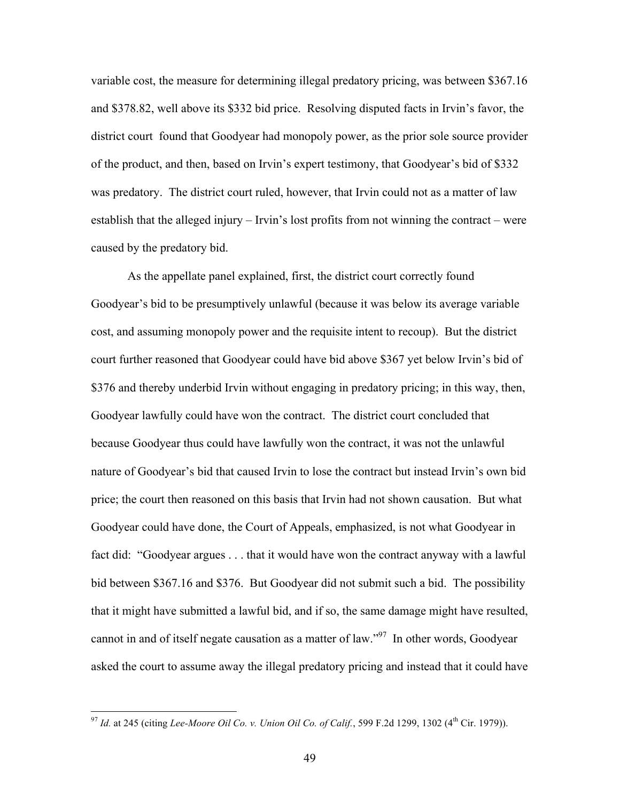variable cost, the measure for determining illegal predatory pricing, was between \$367.16 and \$378.82, well above its \$332 bid price. Resolving disputed facts in Irvin's favor, the district court found that Goodyear had monopoly power, as the prior sole source provider of the product, and then, based on Irvin's expert testimony, that Goodyear's bid of \$332 was predatory. The district court ruled, however, that Irvin could not as a matter of law establish that the alleged injury – Irvin's lost profits from not winning the contract – were caused by the predatory bid.

As the appellate panel explained, first, the district court correctly found Goodyear's bid to be presumptively unlawful (because it was below its average variable cost, and assuming monopoly power and the requisite intent to recoup). But the district court further reasoned that Goodyear could have bid above \$367 yet below Irvin's bid of \$376 and thereby underbid Irvin without engaging in predatory pricing; in this way, then, Goodyear lawfully could have won the contract. The district court concluded that because Goodyear thus could have lawfully won the contract, it was not the unlawful nature of Goodyear's bid that caused Irvin to lose the contract but instead Irvin's own bid price; the court then reasoned on this basis that Irvin had not shown causation. But what Goodyear could have done, the Court of Appeals, emphasized, is not what Goodyear in fact did: "Goodyear argues . . . that it would have won the contract anyway with a lawful bid between \$367.16 and \$376. But Goodyear did not submit such a bid. The possibility that it might have submitted a lawful bid, and if so, the same damage might have resulted, cannot in and of itself negate causation as a matter of law."<sup>97</sup> In other words, Goodyear asked the court to assume away the illegal predatory pricing and instead that it could have

 <sup>97</sup> *Id.* at 245 (citing *Lee-Moore Oil Co. v. Union Oil Co. of Calif.*, 599 F.2d 1299, 1302 (4th Cir. 1979)).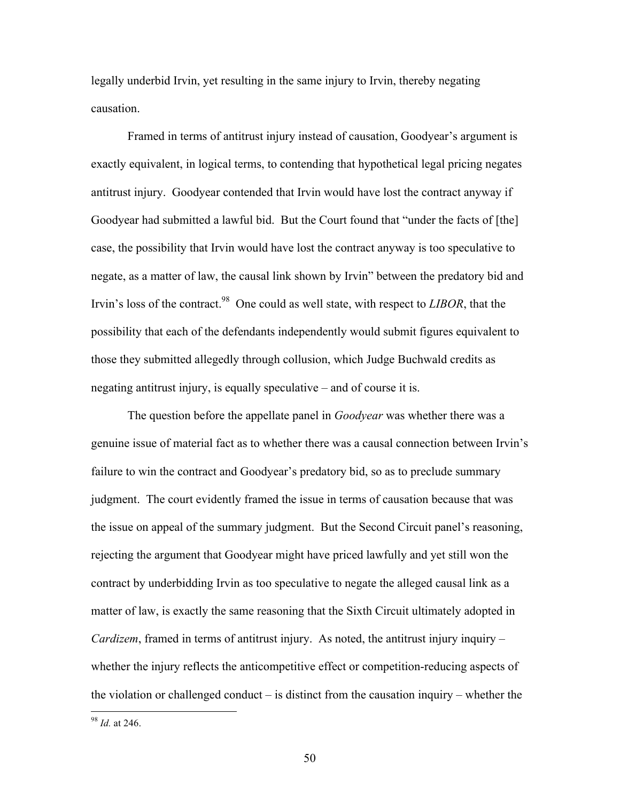legally underbid Irvin, yet resulting in the same injury to Irvin, thereby negating causation.

Framed in terms of antitrust injury instead of causation, Goodyear's argument is exactly equivalent, in logical terms, to contending that hypothetical legal pricing negates antitrust injury. Goodyear contended that Irvin would have lost the contract anyway if Goodyear had submitted a lawful bid. But the Court found that "under the facts of [the] case, the possibility that Irvin would have lost the contract anyway is too speculative to negate, as a matter of law, the causal link shown by Irvin" between the predatory bid and Irvin's loss of the contract.<sup>98</sup> One could as well state, with respect to *LIBOR*, that the possibility that each of the defendants independently would submit figures equivalent to those they submitted allegedly through collusion, which Judge Buchwald credits as negating antitrust injury, is equally speculative – and of course it is.

The question before the appellate panel in *Goodyear* was whether there was a genuine issue of material fact as to whether there was a causal connection between Irvin's failure to win the contract and Goodyear's predatory bid, so as to preclude summary judgment. The court evidently framed the issue in terms of causation because that was the issue on appeal of the summary judgment. But the Second Circuit panel's reasoning, rejecting the argument that Goodyear might have priced lawfully and yet still won the contract by underbidding Irvin as too speculative to negate the alleged causal link as a matter of law, is exactly the same reasoning that the Sixth Circuit ultimately adopted in *Cardizem*, framed in terms of antitrust injury. As noted, the antitrust injury inquiry – whether the injury reflects the anticompetitive effect or competition-reducing aspects of the violation or challenged conduct – is distinct from the causation inquiry – whether the

 <sup>98</sup> *Id.* at 246.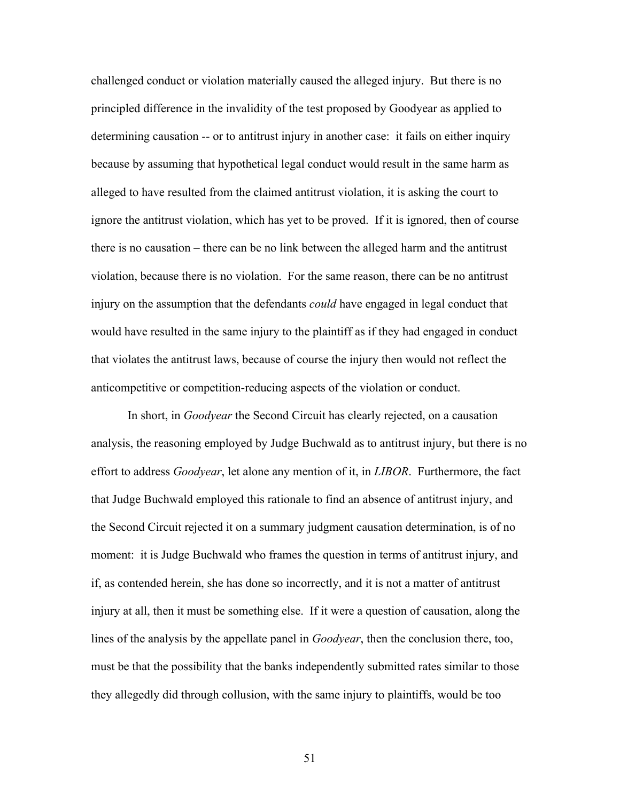challenged conduct or violation materially caused the alleged injury. But there is no principled difference in the invalidity of the test proposed by Goodyear as applied to determining causation -- or to antitrust injury in another case: it fails on either inquiry because by assuming that hypothetical legal conduct would result in the same harm as alleged to have resulted from the claimed antitrust violation, it is asking the court to ignore the antitrust violation, which has yet to be proved. If it is ignored, then of course there is no causation – there can be no link between the alleged harm and the antitrust violation, because there is no violation. For the same reason, there can be no antitrust injury on the assumption that the defendants *could* have engaged in legal conduct that would have resulted in the same injury to the plaintiff as if they had engaged in conduct that violates the antitrust laws, because of course the injury then would not reflect the anticompetitive or competition-reducing aspects of the violation or conduct.

In short, in *Goodyear* the Second Circuit has clearly rejected, on a causation analysis, the reasoning employed by Judge Buchwald as to antitrust injury, but there is no effort to address *Goodyear*, let alone any mention of it, in *LIBOR*. Furthermore, the fact that Judge Buchwald employed this rationale to find an absence of antitrust injury, and the Second Circuit rejected it on a summary judgment causation determination, is of no moment: it is Judge Buchwald who frames the question in terms of antitrust injury, and if, as contended herein, she has done so incorrectly, and it is not a matter of antitrust injury at all, then it must be something else. If it were a question of causation, along the lines of the analysis by the appellate panel in *Goodyear*, then the conclusion there, too, must be that the possibility that the banks independently submitted rates similar to those they allegedly did through collusion, with the same injury to plaintiffs, would be too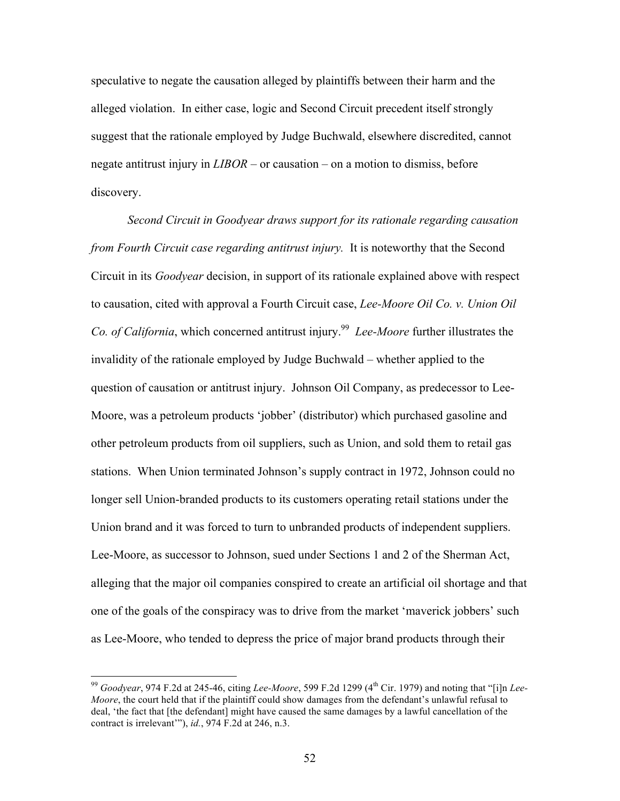speculative to negate the causation alleged by plaintiffs between their harm and the alleged violation. In either case, logic and Second Circuit precedent itself strongly suggest that the rationale employed by Judge Buchwald, elsewhere discredited, cannot negate antitrust injury in *LIBOR* – or causation – on a motion to dismiss, before discovery.

*Second Circuit in Goodyear draws support for its rationale regarding causation from Fourth Circuit case regarding antitrust injury.*It is noteworthy that the Second Circuit in its *Goodyear* decision, in support of its rationale explained above with respect to causation, cited with approval a Fourth Circuit case, *Lee-Moore Oil Co. v. Union Oil Co. of California*, which concerned antitrust injury. <sup>99</sup> *Lee-Moore* further illustrates the invalidity of the rationale employed by Judge Buchwald – whether applied to the question of causation or antitrust injury. Johnson Oil Company, as predecessor to Lee-Moore, was a petroleum products 'jobber' (distributor) which purchased gasoline and other petroleum products from oil suppliers, such as Union, and sold them to retail gas stations. When Union terminated Johnson's supply contract in 1972, Johnson could no longer sell Union-branded products to its customers operating retail stations under the Union brand and it was forced to turn to unbranded products of independent suppliers. Lee-Moore, as successor to Johnson, sued under Sections 1 and 2 of the Sherman Act, alleging that the major oil companies conspired to create an artificial oil shortage and that one of the goals of the conspiracy was to drive from the market 'maverick jobbers' such as Lee-Moore, who tended to depress the price of major brand products through their

 <sup>99</sup> *Goodyear*, 974 F.2d at 245-46, citing *Lee-Moore*, 599 F.2d 1299 (4th Cir. 1979) and noting that "[i]n *Lee-Moore*, the court held that if the plaintiff could show damages from the defendant's unlawful refusal to deal, 'the fact that [the defendant] might have caused the same damages by a lawful cancellation of the contract is irrelevant'"), *id.*, 974 F.2d at 246, n.3.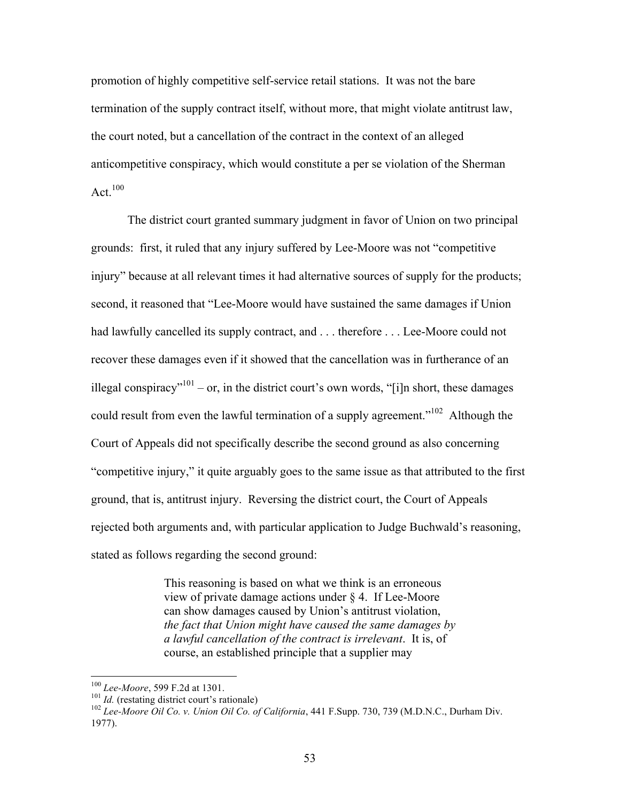promotion of highly competitive self-service retail stations. It was not the bare termination of the supply contract itself, without more, that might violate antitrust law, the court noted, but a cancellation of the contract in the context of an alleged anticompetitive conspiracy, which would constitute a per se violation of the Sherman Act. $100$ 

The district court granted summary judgment in favor of Union on two principal grounds: first, it ruled that any injury suffered by Lee-Moore was not "competitive injury" because at all relevant times it had alternative sources of supply for the products; second, it reasoned that "Lee-Moore would have sustained the same damages if Union had lawfully cancelled its supply contract, and . . . therefore . . . Lee-Moore could not recover these damages even if it showed that the cancellation was in furtherance of an illegal conspiracy"<sup>101</sup> – or, in the district court's own words, "[i]n short, these damages could result from even the lawful termination of a supply agreement.<sup>"102</sup> Although the Court of Appeals did not specifically describe the second ground as also concerning "competitive injury," it quite arguably goes to the same issue as that attributed to the first ground, that is, antitrust injury. Reversing the district court, the Court of Appeals rejected both arguments and, with particular application to Judge Buchwald's reasoning, stated as follows regarding the second ground:

> This reasoning is based on what we think is an erroneous view of private damage actions under § 4. If Lee-Moore can show damages caused by Union's antitrust violation, *the fact that Union might have caused the same damages by a lawful cancellation of the contract is irrelevant*. It is, of course, an established principle that a supplier may

<sup>&</sup>lt;sup>100</sup> *Lee-Moore*, 599 F.2d at 1301.<br><sup>101</sup> *Id.* (restating district court's rationale)<br><sup>102</sup> *Lee-Moore Oil Co. v. Union Oil Co. of California*, 441 F.Supp. 730, 739 (M.D.N.C., Durham Div. 1977).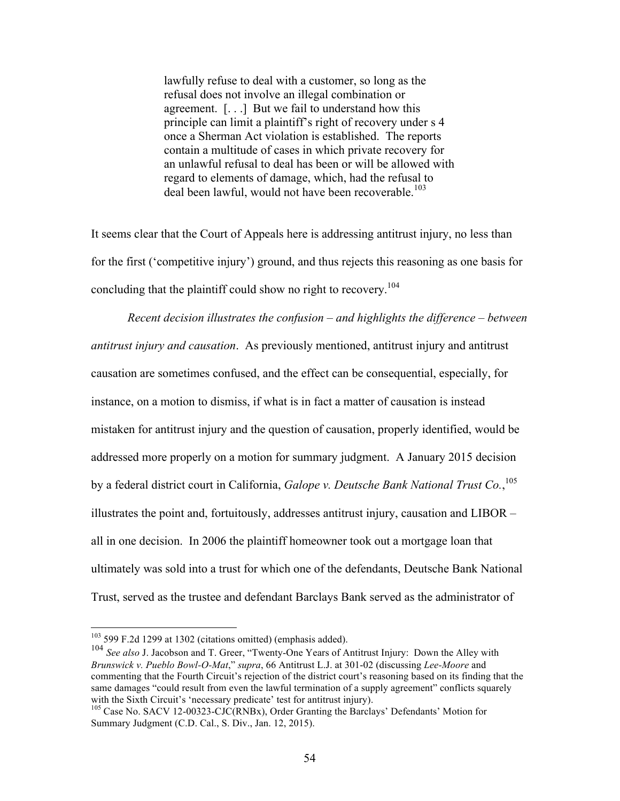lawfully refuse to deal with a customer, so long as the refusal does not involve an illegal combination or agreement. [. . .] But we fail to understand how this principle can limit a plaintiff's right of recovery under s 4 once a Sherman Act violation is established. The reports contain a multitude of cases in which private recovery for an unlawful refusal to deal has been or will be allowed with regard to elements of damage, which, had the refusal to deal been lawful, would not have been recoverable.<sup>103</sup>

It seems clear that the Court of Appeals here is addressing antitrust injury, no less than for the first ('competitive injury') ground, and thus rejects this reasoning as one basis for concluding that the plaintiff could show no right to recovery.104

*Recent decision illustrates the confusion – and highlights the difference – between antitrust injury and causation*. As previously mentioned, antitrust injury and antitrust causation are sometimes confused, and the effect can be consequential, especially, for instance, on a motion to dismiss, if what is in fact a matter of causation is instead mistaken for antitrust injury and the question of causation, properly identified, would be addressed more properly on a motion for summary judgment.A January 2015 decision by a federal district court in California, *Galope v. Deutsche Bank National Trust Co.*, 105 illustrates the point and, fortuitously, addresses antitrust injury, causation and LIBOR – all in one decision. In 2006 the plaintiff homeowner took out a mortgage loan that ultimately was sold into a trust for which one of the defendants, Deutsche Bank National Trust, served as the trustee and defendant Barclays Bank served as the administrator of

 <sup>103</sup> 599 F.2d 1299 at 1302 (citations omitted) (emphasis added).

<sup>104</sup> *See also* J. Jacobson and T. Greer, "Twenty-One Years of Antitrust Injury: Down the Alley with *Brunswick v. Pueblo Bowl-O-Mat*," *supra*, 66 Antitrust L.J. at 301-02 (discussing *Lee-Moore* and commenting that the Fourth Circuit's rejection of the district court's reasoning based on its finding that the same damages "could result from even the lawful termination of a supply agreement" conflicts squarely with the Sixth Circuit's 'necessary predicate' test for antitrust injury).

<sup>&</sup>lt;sup>105</sup> Case No. SACV 12-00323-CJC(RNBx), Order Granting the Barclays' Defendants' Motion for Summary Judgment (C.D. Cal., S. Div., Jan. 12, 2015).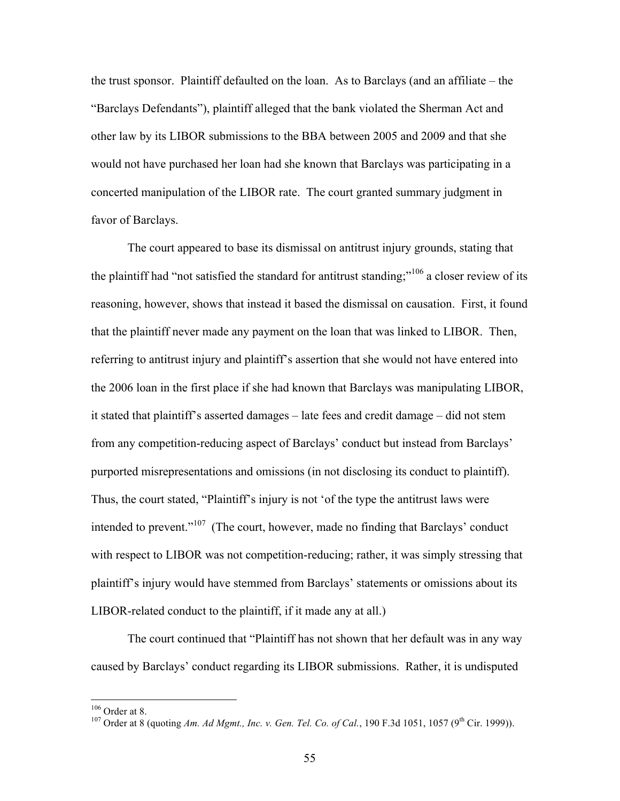the trust sponsor. Plaintiff defaulted on the loan. As to Barclays (and an affiliate – the "Barclays Defendants"), plaintiff alleged that the bank violated the Sherman Act and other law by its LIBOR submissions to the BBA between 2005 and 2009 and that she would not have purchased her loan had she known that Barclays was participating in a concerted manipulation of the LIBOR rate. The court granted summary judgment in favor of Barclays.

The court appeared to base its dismissal on antitrust injury grounds, stating that the plaintiff had "not satisfied the standard for antitrust standing;"<sup>106</sup> a closer review of its reasoning, however, shows that instead it based the dismissal on causation. First, it found that the plaintiff never made any payment on the loan that was linked to LIBOR. Then, referring to antitrust injury and plaintiff's assertion that she would not have entered into the 2006 loan in the first place if she had known that Barclays was manipulating LIBOR, it stated that plaintiff's asserted damages – late fees and credit damage – did not stem from any competition-reducing aspect of Barclays' conduct but instead from Barclays' purported misrepresentations and omissions (in not disclosing its conduct to plaintiff). Thus, the court stated, "Plaintiff's injury is not 'of the type the antitrust laws were intended to prevent."<sup>107</sup> (The court, however, made no finding that Barclays' conduct with respect to LIBOR was not competition-reducing; rather, it was simply stressing that plaintiff's injury would have stemmed from Barclays' statements or omissions about its LIBOR-related conduct to the plaintiff, if it made any at all.)

The court continued that "Plaintiff has not shown that her default was in any way caused by Barclays' conduct regarding its LIBOR submissions. Rather, it is undisputed

<sup>&</sup>lt;sup>106</sup> Order at 8.<br><sup>107</sup> Order at 8 (quoting *Am. Ad Mgmt., Inc. v. Gen. Tel. Co. of Cal.*, 190 F.3d 1051, 1057 (9<sup>th</sup> Cir. 1999)).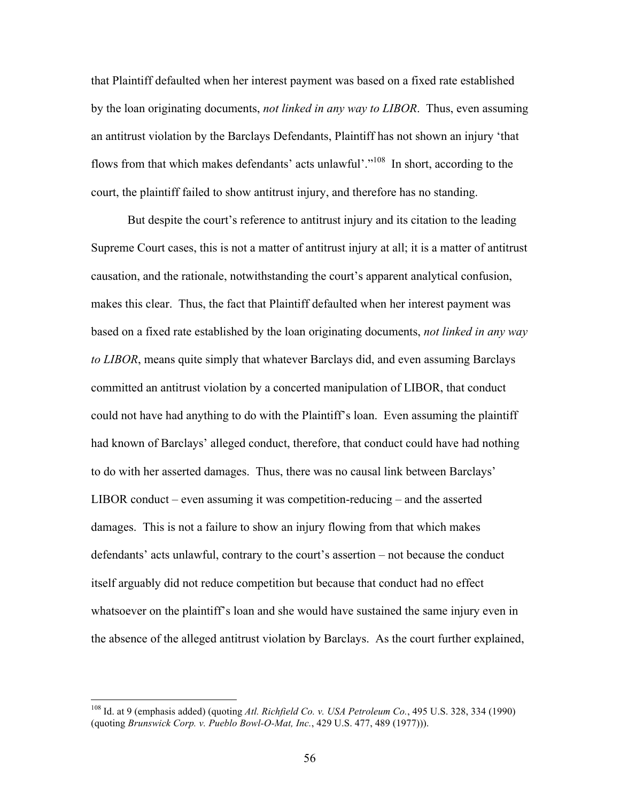that Plaintiff defaulted when her interest payment was based on a fixed rate established by the loan originating documents, *not linked in any way to LIBOR*. Thus, even assuming an antitrust violation by the Barclays Defendants, Plaintiff has not shown an injury 'that flows from that which makes defendants' acts unlawful'."108 In short, according to the court, the plaintiff failed to show antitrust injury, and therefore has no standing.

But despite the court's reference to antitrust injury and its citation to the leading Supreme Court cases, this is not a matter of antitrust injury at all; it is a matter of antitrust causation, and the rationale, notwithstanding the court's apparent analytical confusion, makes this clear. Thus, the fact that Plaintiff defaulted when her interest payment was based on a fixed rate established by the loan originating documents, *not linked in any way to LIBOR*, means quite simply that whatever Barclays did, and even assuming Barclays committed an antitrust violation by a concerted manipulation of LIBOR, that conduct could not have had anything to do with the Plaintiff's loan. Even assuming the plaintiff had known of Barclays' alleged conduct, therefore, that conduct could have had nothing to do with her asserted damages. Thus, there was no causal link between Barclays' LIBOR conduct – even assuming it was competition-reducing – and the asserted damages. This is not a failure to show an injury flowing from that which makes defendants' acts unlawful, contrary to the court's assertion – not because the conduct itself arguably did not reduce competition but because that conduct had no effect whatsoever on the plaintiff's loan and she would have sustained the same injury even in the absence of the alleged antitrust violation by Barclays. As the court further explained,

 <sup>108</sup> Id. at 9 (emphasis added) (quoting *Atl. Richfield Co. v. USA Petroleum Co.*, 495 U.S. 328, 334 (1990) (quoting *Brunswick Corp. v. Pueblo Bowl-O-Mat, Inc.*, 429 U.S. 477, 489 (1977))).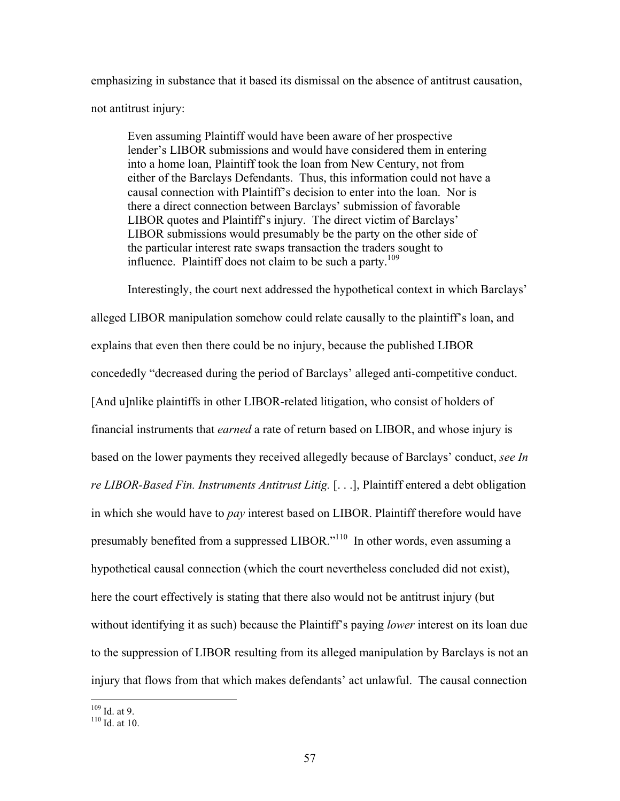emphasizing in substance that it based its dismissal on the absence of antitrust causation, not antitrust injury:

Even assuming Plaintiff would have been aware of her prospective lender's LIBOR submissions and would have considered them in entering into a home loan, Plaintiff took the loan from New Century, not from either of the Barclays Defendants. Thus, this information could not have a causal connection with Plaintiff's decision to enter into the loan. Nor is there a direct connection between Barclays' submission of favorable LIBOR quotes and Plaintiff's injury. The direct victim of Barclays' LIBOR submissions would presumably be the party on the other side of the particular interest rate swaps transaction the traders sought to influence. Plaintiff does not claim to be such a party.<sup>109</sup>

Interestingly, the court next addressed the hypothetical context in which Barclays' alleged LIBOR manipulation somehow could relate causally to the plaintiff's loan, and explains that even then there could be no injury, because the published LIBOR concededly "decreased during the period of Barclays' alleged anti-competitive conduct. [And u]nlike plaintiffs in other LIBOR-related litigation, who consist of holders of financial instruments that *earned* a rate of return based on LIBOR, and whose injury is based on the lower payments they received allegedly because of Barclays' conduct, *see In re LIBOR-Based Fin. Instruments Antitrust Litig.* [. . .], Plaintiff entered a debt obligation in which she would have to *pay* interest based on LIBOR. Plaintiff therefore would have presumably benefited from a suppressed LIBOR."<sup>110</sup> In other words, even assuming a hypothetical causal connection (which the court nevertheless concluded did not exist), here the court effectively is stating that there also would not be antitrust injury (but without identifying it as such) because the Plaintiff's paying *lower* interest on its loan due to the suppression of LIBOR resulting from its alleged manipulation by Barclays is not an injury that flows from that which makes defendants' act unlawful. The causal connection

 $\frac{109}{110}$  Id. at 10.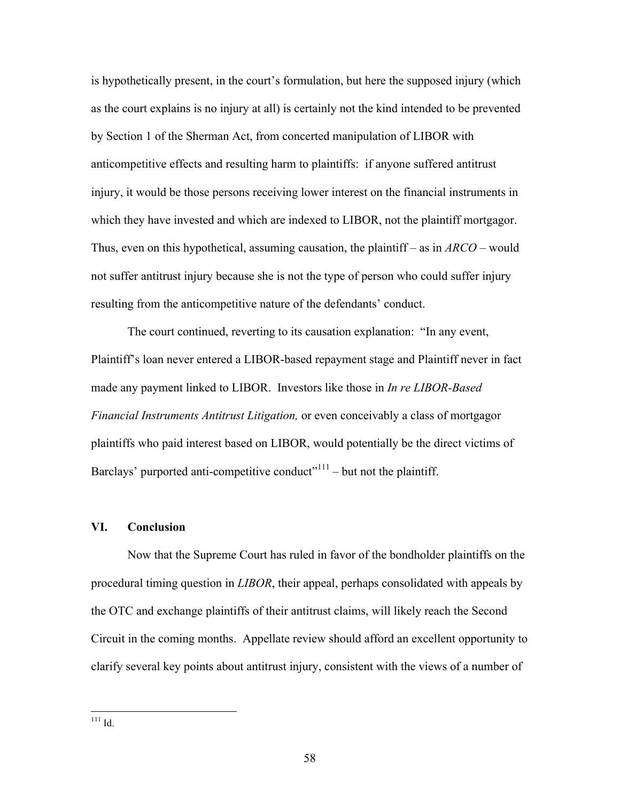is hypothetically present, in the court's formulation, but here the supposed injury (which as the court explains is no injury at all) is certainly not the kind intended to be prevented by Section 1 of the Sherman Act, from concerted manipulation of LIBOR with anticompetitive effects and resulting harm to plaintiffs: if anyone suffered antitrust injury, it would be those persons receiving lower interest on the financial instruments in which they have invested and which are indexed to LIBOR, not the plaintiff mortgagor. Thus, even on this hypothetical, assuming causation, the plaintiff – as in *ARCO* – would not suffer antitrust injury because she is not the type of person who could suffer injury resulting from the anticompetitive nature of the defendants' conduct.

The court continued, reverting to its causation explanation: "In any event, Plaintiff's loan never entered a LIBOR-based repayment stage and Plaintiff never in fact made any payment linked to LIBOR. Investors like those in *In re LIBOR-Based Financial Instruments Antitrust Litigation,* or even conceivably a class of mortgagor plaintiffs who paid interest based on LIBOR, would potentially be the direct victims of Barclays' purported anti-competitive conduct"<sup>111</sup> – but not the plaintiff.

#### **VI. Conclusion**

Now that the Supreme Court has ruled in favor of the bondholder plaintiffs on the procedural timing question in *LIBOR*, their appeal, perhaps consolidated with appeals by the OTC and exchange plaintiffs of their antitrust claims, will likely reach the Second Circuit in the coming months. Appellate review should afford an excellent opportunity to clarify several key points about antitrust injury, consistent with the views of a number of

 $111$  Id.